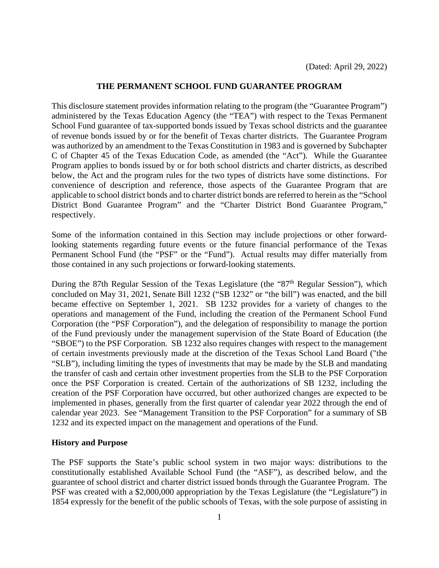# **THE PERMANENT SCHOOL FUND GUARANTEE PROGRAM**

This disclosure statement provides information relating to the program (the "Guarantee Program") administered by the Texas Education Agency (the "TEA") with respect to the Texas Permanent School Fund guarantee of tax-supported bonds issued by Texas school districts and the guarantee of revenue bonds issued by or for the benefit of Texas charter districts. The Guarantee Program was authorized by an amendment to the Texas Constitution in 1983 and is governed by Subchapter C of Chapter 45 of the Texas Education Code, as amended (the "Act"). While the Guarantee Program applies to bonds issued by or for both school districts and charter districts, as described below, the Act and the program rules for the two types of districts have some distinctions. For convenience of description and reference, those aspects of the Guarantee Program that are applicable to school district bonds and to charter district bonds are referred to herein as the "School District Bond Guarantee Program" and the "Charter District Bond Guarantee Program," respectively.

Some of the information contained in this Section may include projections or other forwardlooking statements regarding future events or the future financial performance of the Texas Permanent School Fund (the "PSF" or the "Fund"). Actual results may differ materially from those contained in any such projections or forward-looking statements.

During the 87th Regular Session of the Texas Legislature (the "87<sup>th</sup> Regular Session"), which concluded on May 31, 2021, Senate Bill 1232 ("SB 1232" or "the bill") was enacted, and the bill became effective on September 1, 2021. SB 1232 provides for a variety of changes to the operations and management of the Fund, including the creation of the Permanent School Fund Corporation (the "PSF Corporation"), and the delegation of responsibility to manage the portion of the Fund previously under the management supervision of the State Board of Education (the "SBOE") to the PSF Corporation. SB 1232 also requires changes with respect to the management of certain investments previously made at the discretion of the Texas School Land Board ("the "SLB"), including limiting the types of investments that may be made by the SLB and mandating the transfer of cash and certain other investment properties from the SLB to the PSF Corporation once the PSF Corporation is created. Certain of the authorizations of SB 1232, including the creation of the PSF Corporation have occurred, but other authorized changes are expected to be implemented in phases, generally from the first quarter of calendar year 2022 through the end of calendar year 2023. See "Management Transition to the PSF Corporation" for a summary of SB 1232 and its expected impact on the management and operations of the Fund.

## **History and Purpose**

The PSF supports the State's public school system in two major ways: distributions to the constitutionally established Available School Fund (the "ASF"), as described below, and the guarantee of school district and charter district issued bonds through the Guarantee Program. The PSF was created with a \$2,000,000 appropriation by the Texas Legislature (the "Legislature") in 1854 expressly for the benefit of the public schools of Texas, with the sole purpose of assisting in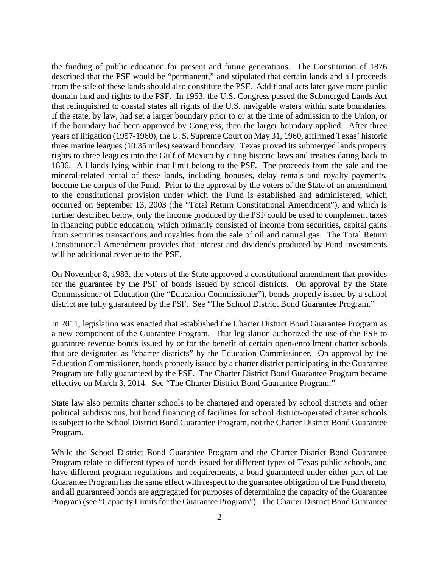will be additional revenue to the PSF. the funding of public education for present and future generations. The Constitution of 1876 described that the PSF would be "permanent," and stipulated that certain lands and all proceeds from the sale of these lands should also constitute the PSF. Additional acts later gave more public domain land and rights to the PSF. In 1953, the U.S. Congress passed the Submerged Lands Act that relinquished to coastal states all rights of the U.S. navigable waters within state boundaries. If the state, by law, had set a larger boundary prior to or at the time of admission to the Union, or if the boundary had been approved by Congress, then the larger boundary applied. After three years of litigation (1957-1960), the U. S. Supreme Court on May 31, 1960, affirmed Texas' historic three marine leagues (10.35 miles) seaward boundary. Texas proved its submerged lands property rights to three leagues into the Gulf of Mexico by citing historic laws and treaties dating back to 1836. All lands lying within that limit belong to the PSF. The proceeds from the sale and the mineral-related rental of these lands, including bonuses, delay rentals and royalty payments, become the corpus of the Fund. Prior to the approval by the voters of the State of an amendment to the constitutional provision under which the Fund is established and administered, which occurred on September 13, 2003 (the "Total Return Constitutional Amendment"), and which is further described below, only the income produced by the PSF could be used to complement taxes in financing public education, which primarily consisted of income from securities, capital gains from securities transactions and royalties from the sale of oil and natural gas. The Total Return Constitutional Amendment provides that interest and dividends produced by Fund investments

On November 8, 1983, the voters of the State approved a constitutional amendment that provides for the guarantee by the PSF of bonds issued by school districts. On approval by the State Commissioner of Education (the "Education Commissioner"), bonds properly issued by a school district are fully guaranteed by the PSF. See "The School District Bond Guarantee Program."

In 2011, legislation was enacted that established the Charter District Bond Guarantee Program as a new component of the Guarantee Program. That legislation authorized the use of the PSF to guarantee revenue bonds issued by or for the benefit of certain open-enrollment charter schools that are designated as "charter districts" by the Education Commissioner. On approval by the Education Commissioner, bonds properly issued by a charter district participating in the Guarantee Program are fully guaranteed by the PSF. The Charter District Bond Guarantee Program became effective on March 3, 2014. See "The Charter District Bond Guarantee Program."

State law also permits charter schools to be chartered and operated by school districts and other political subdivisions, but bond financing of facilities for school district-operated charter schools is subject to the School District Bond Guarantee Program, not the Charter District Bond Guarantee Program.

While the School District Bond Guarantee Program and the Charter District Bond Guarantee Program relate to different types of bonds issued for different types of Texas public schools, and have different program regulations and requirements, a bond guaranteed under either part of the Guarantee Program has the same effect with respect to the guarantee obligation of the Fund thereto, and all guaranteed bonds are aggregated for purposes of determining the capacity of the Guarantee Program (see "Capacity Limits for the Guarantee Program"). The Charter District Bond Guarantee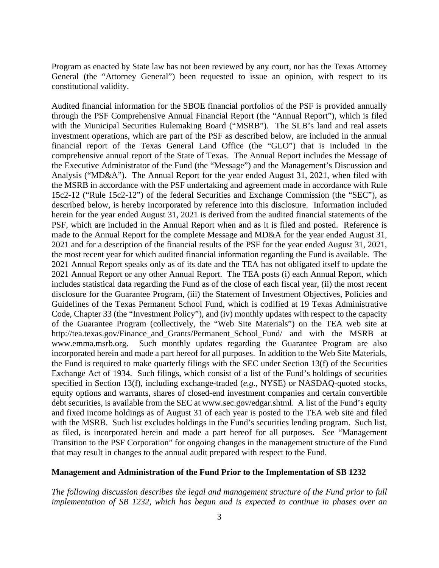Program as enacted by State law has not been reviewed by any court, nor has the Texas Attorney General (the "Attorney General") been requested to issue an opinion, with respect to its constitutional validity.

Audited financial information for the SBOE financial portfolios of the PSF is provided annually through the PSF Comprehensive Annual Financial Report (the "Annual Report"), which is filed with the Municipal Securities Rulemaking Board ("MSRB"). The SLB's land and real assets investment operations, which are part of the PSF as described below, are included in the annual financial report of the Texas General Land Office (the "GLO") that is included in the comprehensive annual report of the State of Texas. The Annual Report includes the Message of the Executive Administrator of the Fund (the "Message") and the Management's Discussion and Analysis ("MD&A"). The Annual Report for the year ended August 31, 2021, when filed with the MSRB in accordance with the PSF undertaking and agreement made in accordance with Rule 15c2-12 ("Rule 15c2-12") of the federal Securities and Exchange Commission (the "SEC"), as described below, is hereby incorporated by reference into this disclosure. Information included herein for the year ended August 31, 2021 is derived from the audited financial statements of the PSF, which are included in the Annual Report when and as it is filed and posted. Reference is made to the Annual Report for the complete Message and MD&A for the year ended August 31, 2021 and for a description of the financial results of the PSF for the year ended August 31, 2021, the most recent year for which audited financial information regarding the Fund is available. The 2021 Annual Report speaks only as of its date and the TEA has not obligated itself to update the 2021 Annual Report or any other Annual Report. The TEA posts (i) each Annual Report, which includes statistical data regarding the Fund as of the close of each fiscal year, (ii) the most recent disclosure for the Guarantee Program, (iii) the Statement of Investment Objectives, Policies and Guidelines of the Texas Permanent School Fund, which is codified at 19 Texas Administrative Code, Chapter 33 (the "Investment Policy"), and (iv) monthly updates with respect to the capacity of the Guarantee Program (collectively, the "Web Site Materials") on the TEA web site at [http://tea.texas.gov/Finance\\_and\\_Grants/Permanent\\_School\\_Fund/](http://tea.texas.gov/Finance_and_Grants/Permanent_School_Fund) and with the MSRB at <www.emma.msrb.org>. Such monthly updates regarding the Guarantee Program are also incorporated herein and made a part hereof for all purposes. In addition to the Web Site Materials, the Fund is required to make quarterly filings with the SEC under Section 13(f) of the Securities Exchange Act of 1934. Such filings, which consist of a list of the Fund's holdings of securities specified in Section 13(f), including exchange-traded (*e.g.*, NYSE) or NASDAQ-quoted stocks, equity options and warrants, shares of closed-end investment companies and certain convertible debt securities, is available from the SEC at<www.sec.gov/edgar.shtml>. A list of the Fund's equity and fixed income holdings as of August 31 of each year is posted to the TEA web site and filed with the MSRB. Such list excludes holdings in the Fund's securities lending program. Such list, as filed, is incorporated herein and made a part hereof for all purposes. See "Management Transition to the PSF Corporation" for ongoing changes in the management structure of the Fund that may result in changes to the annual audit prepared with respect to the Fund.

#### **Management and Administration of the Fund Prior to the Implementation of SB 1232**

*The following discussion describes the legal and management structure of the Fund prior to full implementation of SB 1232, which has begun and is expected to continue in phases over an*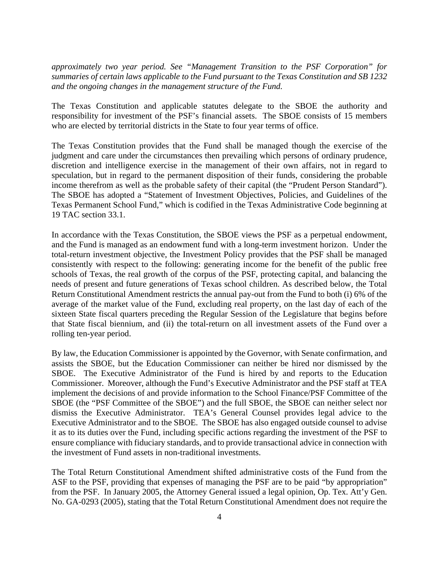*approximately two year period. See "Management Transition to the PSF Corporation" for summaries of certain laws applicable to the Fund pursuant to the Texas Constitution and SB 1232 and the ongoing changes in the management structure of the Fund.* 

The Texas Constitution and applicable statutes delegate to the SBOE the authority and responsibility for investment of the PSF's financial assets. The SBOE consists of 15 members who are elected by territorial districts in the State to four year terms of office.

The Texas Constitution provides that the Fund shall be managed though the exercise of the judgment and care under the circumstances then prevailing which persons of ordinary prudence, discretion and intelligence exercise in the management of their own affairs, not in regard to speculation, but in regard to the permanent disposition of their funds, considering the probable income therefrom as well as the probable safety of their capital (the "Prudent Person Standard"). The SBOE has adopted a "Statement of Investment Objectives, Policies, and Guidelines of the Texas Permanent School Fund," which is codified in the Texas Administrative Code beginning at 19 TAC section 33.1.

In accordance with the Texas Constitution, the SBOE views the PSF as a perpetual endowment, and the Fund is managed as an endowment fund with a long-term investment horizon. Under the total-return investment objective, the Investment Policy provides that the PSF shall be managed consistently with respect to the following: generating income for the benefit of the public free schools of Texas, the real growth of the corpus of the PSF, protecting capital, and balancing the needs of present and future generations of Texas school children. As described below, the Total Return Constitutional Amendment restricts the annual pay-out from the Fund to both (i) 6% of the average of the market value of the Fund, excluding real property, on the last day of each of the sixteen State fiscal quarters preceding the Regular Session of the Legislature that begins before that State fiscal biennium, and (ii) the total-return on all investment assets of the Fund over a rolling ten-year period.

By law, the Education Commissioner is appointed by the Governor, with Senate confirmation, and assists the SBOE, but the Education Commissioner can neither be hired nor dismissed by the SBOE. The Executive Administrator of the Fund is hired by and reports to the Education Commissioner. Moreover, although the Fund's Executive Administrator and the PSF staff at TEA implement the decisions of and provide information to the School Finance/PSF Committee of the SBOE (the "PSF Committee of the SBOE") and the full SBOE, the SBOE can neither select nor dismiss the Executive Administrator. TEA's General Counsel provides legal advice to the Executive Administrator and to the SBOE. The SBOE has also engaged outside counsel to advise it as to its duties over the Fund, including specific actions regarding the investment of the PSF to ensure compliance with fiduciary standards, and to provide transactional advice in connection with the investment of Fund assets in non-traditional investments.

The Total Return Constitutional Amendment shifted administrative costs of the Fund from the ASF to the PSF, providing that expenses of managing the PSF are to be paid "by appropriation" from the PSF. In January 2005, the Attorney General issued a legal opinion, Op. Tex. Att'y Gen. No. GA-0293 (2005), stating that the Total Return Constitutional Amendment does not require the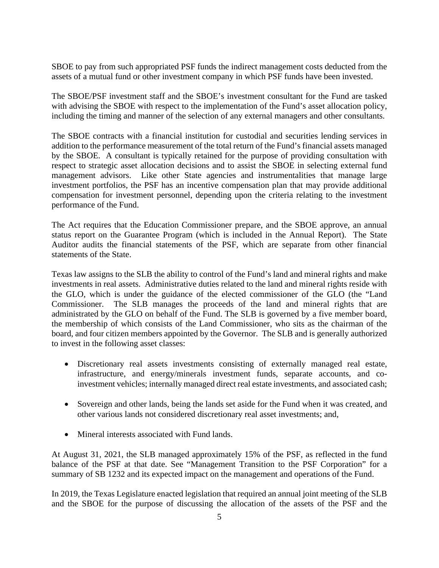SBOE to pay from such appropriated PSF funds the indirect management costs deducted from the assets of a mutual fund or other investment company in which PSF funds have been invested.

The SBOE/PSF investment staff and the SBOE's investment consultant for the Fund are tasked with advising the SBOE with respect to the implementation of the Fund's asset allocation policy, including the timing and manner of the selection of any external managers and other consultants.

The SBOE contracts with a financial institution for custodial and securities lending services in addition to the performance measurement of the total return of the Fund's financial assets managed by the SBOE. A consultant is typically retained for the purpose of providing consultation with respect to strategic asset allocation decisions and to assist the SBOE in selecting external fund management advisors. Like other State agencies and instrumentalities that manage large investment portfolios, the PSF has an incentive compensation plan that may provide additional compensation for investment personnel, depending upon the criteria relating to the investment performance of the Fund.

The Act requires that the Education Commissioner prepare, and the SBOE approve, an annual status report on the Guarantee Program (which is included in the Annual Report). The State Auditor audits the financial statements of the PSF, which are separate from other financial statements of the State.

Texas law assigns to the SLB the ability to control of the Fund's land and mineral rights and make investments in real assets. Administrative duties related to the land and mineral rights reside with the GLO, which is under the guidance of the elected commissioner of the GLO (the "Land Commissioner. The SLB manages the proceeds of the land and mineral rights that are administrated by the GLO on behalf of the Fund. The SLB is governed by a five member board, the membership of which consists of the Land Commissioner, who sits as the chairman of the board, and four citizen members appointed by the Governor. The SLB and is generally authorized to invest in the following asset classes:

- Discretionary real assets investments consisting of externally managed real estate, infrastructure, and energy/minerals investment funds, separate accounts, and coinvestment vehicles; internally managed direct real estate investments, and associated cash;
- Sovereign and other lands, being the lands set aside for the Fund when it was created, and other various lands not considered discretionary real asset investments; and,
- Mineral interests associated with Fund lands.

At August 31, 2021, the SLB managed approximately 15% of the PSF, as reflected in the fund balance of the PSF at that date. See "Management Transition to the PSF Corporation" for a summary of SB 1232 and its expected impact on the management and operations of the Fund.

In 2019, the Texas Legislature enacted legislation that required an annual joint meeting of the SLB and the SBOE for the purpose of discussing the allocation of the assets of the PSF and the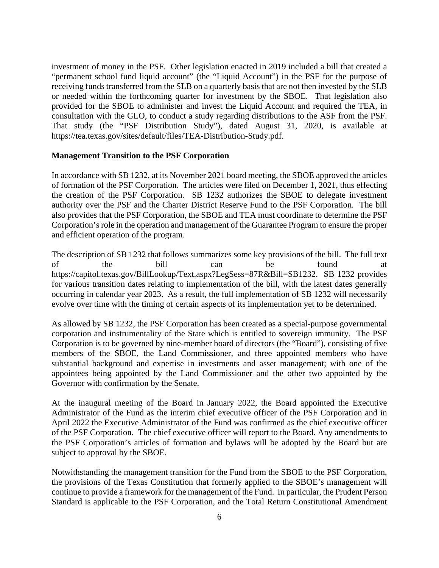investment of money in the PSF. Other legislation enacted in 2019 included a bill that created a "permanent school fund liquid account" (the "Liquid Account") in the PSF for the purpose of receiving funds transferred from the SLB on a quarterly basis that are not then invested by the SLB or needed within the forthcoming quarter for investment by the SBOE. That legislation also provided for the SBOE to administer and invest the Liquid Account and required the TEA, in consultation with the GLO, to conduct a study regarding distributions to the ASF from the PSF. That study (the "PSF Distribution Study"), dated August 31, 2020, is available at <https://tea.texas.gov/sites/default/files/TEA-Distribution-Study.pdf>.

## **Management Transition to the PSF Corporation**

In accordance with SB 1232, at its November 2021 board meeting, the SBOE approved the articles of formation of the PSF Corporation. The articles were filed on December 1, 2021, thus effecting the creation of the PSF Corporation. SB 1232 authorizes the SBOE to delegate investment authority over the PSF and the Charter District Reserve Fund to the PSF Corporation. The bill also provides that the PSF Corporation, the SBOE and TEA must coordinate to determine the PSF Corporation's role in the operation and management of the Guarantee Program to ensure the proper and efficient operation of the program.

The description of SB 1232 that follows summarizes some key provisions of the bill. The full text of the bill can be found at [https://capitol.texas.gov/BillLookup/Text.aspx?LegSess=87R&Bill=SB1232.](https://capitol.texas.gov/BillLookup/Text.aspx?LegSess=87R&Bill=SB1232) SB 1232 provides for various transition dates relating to implementation of the bill, with the latest dates generally occurring in calendar year 2023. As a result, the full implementation of SB 1232 will necessarily evolve over time with the timing of certain aspects of its implementation yet to be determined.

As allowed by SB 1232, the PSF Corporation has been created as a special-purpose governmental corporation and instrumentality of the State which is entitled to sovereign immunity. The PSF Corporation is to be governed by nine-member board of directors (the "Board"), consisting of five members of the SBOE, the Land Commissioner, and three appointed members who have substantial background and expertise in investments and asset management; with one of the appointees being appointed by the Land Commissioner and the other two appointed by the Governor with confirmation by the Senate.

At the inaugural meeting of the Board in January 2022, the Board appointed the Executive Administrator of the Fund as the interim chief executive officer of the PSF Corporation and in April 2022 the Executive Administrator of the Fund was confirmed as the chief executive officer of the PSF Corporation. The chief executive officer will report to the Board. Any amendments to the PSF Corporation's articles of formation and bylaws will be adopted by the Board but are subject to approval by the SBOE.

Notwithstanding the management transition for the Fund from the SBOE to the PSF Corporation, the provisions of the Texas Constitution that formerly applied to the SBOE's management will continue to provide a framework for the management of the Fund. In particular, the Prudent Person Standard is applicable to the PSF Corporation, and the Total Return Constitutional Amendment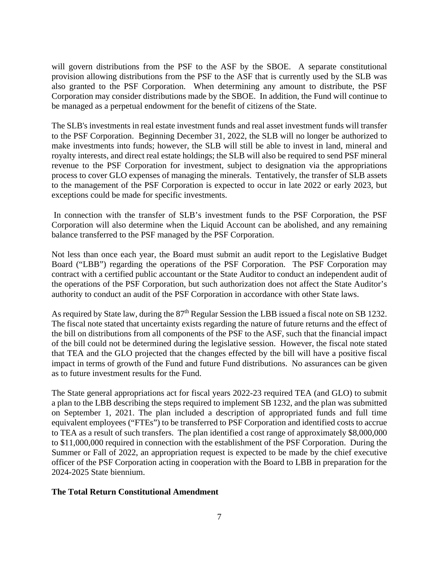will govern distributions from the PSF to the ASF by the SBOE. A separate constitutional provision allowing distributions from the PSF to the ASF that is currently used by the SLB was also granted to the PSF Corporation. When determining any amount to distribute, the PSF Corporation may consider distributions made by the SBOE. In addition, the Fund will continue to be managed as a perpetual endowment for the benefit of citizens of the State.

The SLB's investments in real estate investment funds and real asset investment funds will transfer to the PSF Corporation. Beginning December 31, 2022, the SLB will no longer be authorized to make investments into funds; however, the SLB will still be able to invest in land, mineral and royalty interests, and direct real estate holdings; the SLB will also be required to send PSF mineral revenue to the PSF Corporation for investment, subject to designation via the appropriations process to cover GLO expenses of managing the minerals. Tentatively, the transfer of SLB assets to the management of the PSF Corporation is expected to occur in late 2022 or early 2023, but exceptions could be made for specific investments.

In connection with the transfer of SLB's investment funds to the PSF Corporation, the PSF Corporation will also determine when the Liquid Account can be abolished, and any remaining balance transferred to the PSF managed by the PSF Corporation.

Not less than once each year, the Board must submit an audit report to the Legislative Budget Board ("LBB") regarding the operations of the PSF Corporation. The PSF Corporation may contract with a certified public accountant or the State Auditor to conduct an independent audit of the operations of the PSF Corporation, but such authorization does not affect the State Auditor's authority to conduct an audit of the PSF Corporation in accordance with other State laws.

As required by State law, during the  $87<sup>th</sup>$  Regular Session the LBB issued a fiscal note on SB 1232. The fiscal note stated that uncertainty exists regarding the nature of future returns and the effect of the bill on distributions from all components of the PSF to the ASF, such that the financial impact of the bill could not be determined during the legislative session. However, the fiscal note stated that TEA and the GLO projected that the changes effected by the bill will have a positive fiscal impact in terms of growth of the Fund and future Fund distributions. No assurances can be given as to future investment results for the Fund.

The State general appropriations act for fiscal years 2022-23 required TEA (and GLO) to submit a plan to the LBB describing the steps required to implement SB 1232, and the plan was submitted on September 1, 2021. The plan included a description of appropriated funds and full time equivalent employees ("FTEs") to be transferred to PSF Corporation and identified costs to accrue to TEA as a result of such transfers. The plan identified a cost range of approximately \$8,000,000 to \$11,000,000 required in connection with the establishment of the PSF Corporation. During the Summer or Fall of 2022, an appropriation request is expected to be made by the chief executive officer of the PSF Corporation acting in cooperation with the Board to LBB in preparation for the 2024-2025 State biennium.

## **The Total Return Constitutional Amendment**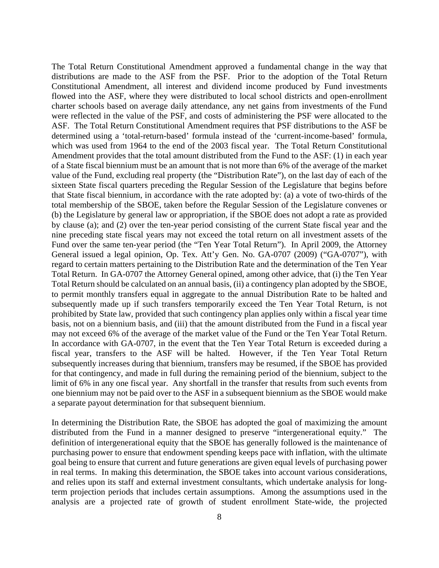The Total Return Constitutional Amendment approved a fundamental change in the way that distributions are made to the ASF from the PSF. Prior to the adoption of the Total Return Constitutional Amendment, all interest and dividend income produced by Fund investments flowed into the ASF, where they were distributed to local school districts and open-enrollment charter schools based on average daily attendance, any net gains from investments of the Fund were reflected in the value of the PSF, and costs of administering the PSF were allocated to the ASF. The Total Return Constitutional Amendment requires that PSF distributions to the ASF be determined using a 'total-return-based' formula instead of the 'current-income-based' formula, which was used from 1964 to the end of the 2003 fiscal year. The Total Return Constitutional Amendment provides that the total amount distributed from the Fund to the ASF: (1) in each year of a State fiscal biennium must be an amount that is not more than 6% of the average of the market value of the Fund, excluding real property (the "Distribution Rate"), on the last day of each of the sixteen State fiscal quarters preceding the Regular Session of the Legislature that begins before that State fiscal biennium, in accordance with the rate adopted by: (a) a vote of two-thirds of the total membership of the SBOE, taken before the Regular Session of the Legislature convenes or (b) the Legislature by general law or appropriation, if the SBOE does not adopt a rate as provided by clause (a); and (2) over the ten-year period consisting of the current State fiscal year and the nine preceding state fiscal years may not exceed the total return on all investment assets of the Fund over the same ten-year period (the "Ten Year Total Return"). In April 2009, the Attorney General issued a legal opinion, Op. Tex. Att'y Gen. No. GA-0707 (2009) ("GA-0707"), with regard to certain matters pertaining to the Distribution Rate and the determination of the Ten Year Total Return. In GA-0707 the Attorney General opined, among other advice, that (i) the Ten Year Total Return should be calculated on an annual basis, (ii) a contingency plan adopted by the SBOE, to permit monthly transfers equal in aggregate to the annual Distribution Rate to be halted and subsequently made up if such transfers temporarily exceed the Ten Year Total Return, is not prohibited by State law, provided that such contingency plan applies only within a fiscal year time basis, not on a biennium basis, and (iii) that the amount distributed from the Fund in a fiscal year may not exceed 6% of the average of the market value of the Fund or the Ten Year Total Return. In accordance with GA-0707, in the event that the Ten Year Total Return is exceeded during a fiscal year, transfers to the ASF will be halted. However, if the Ten Year Total Return subsequently increases during that biennium, transfers may be resumed, if the SBOE has provided for that contingency, and made in full during the remaining period of the biennium, subject to the limit of 6% in any one fiscal year. Any shortfall in the transfer that results from such events from one biennium may not be paid over to the ASF in a subsequent biennium as the SBOE would make a separate payout determination for that subsequent biennium.

In determining the Distribution Rate, the SBOE has adopted the goal of maximizing the amount distributed from the Fund in a manner designed to preserve "intergenerational equity." The definition of intergenerational equity that the SBOE has generally followed is the maintenance of purchasing power to ensure that endowment spending keeps pace with inflation, with the ultimate goal being to ensure that current and future generations are given equal levels of purchasing power in real terms. In making this determination, the SBOE takes into account various considerations, and relies upon its staff and external investment consultants, which undertake analysis for longterm projection periods that includes certain assumptions. Among the assumptions used in the analysis are a projected rate of growth of student enrollment State-wide, the projected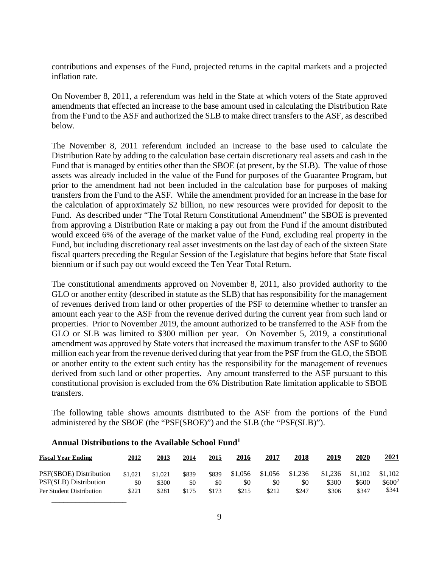contributions and expenses of the Fund, projected returns in the capital markets and a projected inflation rate.

On November 8, 2011, a referendum was held in the State at which voters of the State approved amendments that effected an increase to the base amount used in calculating the Distribution Rate from the Fund to the ASF and authorized the SLB to make direct transfers to the ASF, as described below.

The November 8, 2011 referendum included an increase to the base used to calculate the Distribution Rate by adding to the calculation base certain discretionary real assets and cash in the Fund that is managed by entities other than the SBOE (at present, by the SLB). The value of those assets was already included in the value of the Fund for purposes of the Guarantee Program, but prior to the amendment had not been included in the calculation base for purposes of making transfers from the Fund to the ASF. While the amendment provided for an increase in the base for the calculation of approximately \$2 billion, no new resources were provided for deposit to the Fund. As described under "The Total Return Constitutional Amendment" the SBOE is prevented from approving a Distribution Rate or making a pay out from the Fund if the amount distributed would exceed 6% of the average of the market value of the Fund, excluding real property in the Fund, but including discretionary real asset investments on the last day of each of the sixteen State fiscal quarters preceding the Regular Session of the Legislature that begins before that State fiscal biennium or if such pay out would exceed the Ten Year Total Return.

The constitutional amendments approved on November 8, 2011, also provided authority to the GLO or another entity (described in statute as the SLB) that has responsibility for the management of revenues derived from land or other properties of the PSF to determine whether to transfer an amount each year to the ASF from the revenue derived during the current year from such land or properties. Prior to November 2019, the amount authorized to be transferred to the ASF from the GLO or SLB was limited to \$300 million per year. On November 5, 2019, a constitutional amendment was approved by State voters that increased the maximum transfer to the ASF to \$600 million each year from the revenue derived during that year from the PSF from the GLO, the SBOE or another entity to the extent such entity has the responsibility for the management of revenues derived from such land or other properties. Any amount transferred to the ASF pursuant to this constitutional provision is excluded from the 6% Distribution Rate limitation applicable to SBOE transfers.

The following table shows amounts distributed to the ASF from the portions of the Fund administered by the SBOE (the "PSF(SBOE)") and the SLB (the "PSF(SLB)").

| <b>Fiscal Year Ending</b> | 2012    | 2013    | 2014  | 2015  | 2016    | 2017    | 2018    | 2019    | 2020    | <u> 2021</u> |
|---------------------------|---------|---------|-------|-------|---------|---------|---------|---------|---------|--------------|
| PSF(SBOE) Distribution    | \$1,021 | \$1,021 | \$839 | \$839 | \$1,056 | \$1,056 | \$1,236 | \$1,236 | \$1,102 | \$1,102      |
| PSF(SLB) Distribution     | \$0     | \$300   | \$0   | \$0   | \$0     | \$0     | \$0     | \$300   | \$600   | $$600^2$$    |
| Per Student Distribution  | \$221   | \$281   | \$175 | \$173 | \$215   | \$212   | \$247   | \$306   | \$347   | \$341        |

# **Annual Distributions to the Available School Fund1**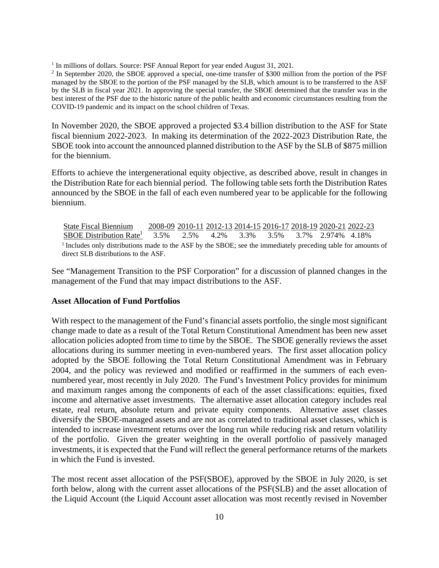$\frac{1}{2}$  In millions of dollars. Source: PSF Annual Report for year ended August 31, 2021.<br> $\frac{2}{2}$  In September 2020, the SBOE approved a special one-time transfer of \$300 million

 best interest of the PSF due to the historic nature of the public health and economic circumstances resulting from the <sup>2</sup> In September 2020, the SBOE approved a special, one-time transfer of \$300 million from the portion of the PSF managed by the SBOE to the portion of the PSF managed by the SLB, which amount is to be transferred to the ASF by the SLB in fiscal year 2021. In approving the special transfer, the SBOE determined that the transfer was in the COVID-19 pandemic and its impact on the school children of Texas.

In November 2020, the SBOE approved a projected \$3.4 billion distribution to the ASF for State fiscal biennium 2022-2023. In making its determination of the 2022-2023 Distribution Rate, the SBOE took into account the announced planned distribution to the ASF by the SLB of \$875 million for the biennium.

Efforts to achieve the intergenerational equity objective, as described above, result in changes in the Distribution Rate for each biennial period. The following table sets forth the Distribution Rates announced by the SBOE in the fall of each even numbered year to be applicable for the following biennium.

State Fiscal Biennium 2008-09 2010-11 2012-13 2014-15 2016-17 2018-19 2020-21 2022-23 3.5% SBOE Distribution Rate<sup>1</sup> 3.5% 2.5% 4.2% 3.3% 3.5% 3.7% 2.974% 4.18% <sup>1</sup> Includes only distributions made to the ASF by the SBOE; see the immediately preceding table for amounts of direct SLB distributions to the ASF.

See "Management Transition to the PSF Corporation" for a discussion of planned changes in the management of the Fund that may impact distributions to the ASF.

## **Asset Allocation of Fund Portfolios**

With respect to the management of the Fund's financial assets portfolio, the single most significant change made to date as a result of the Total Return Constitutional Amendment has been new asset allocation policies adopted from time to time by the SBOE. The SBOE generally reviews the asset allocations during its summer meeting in even-numbered years. The first asset allocation policy adopted by the SBOE following the Total Return Constitutional Amendment was in February 2004, and the policy was reviewed and modified or reaffirmed in the summers of each evennumbered year, most recently in July 2020. The Fund's Investment Policy provides for minimum and maximum ranges among the components of each of the asset classifications: equities, fixed income and alternative asset investments. The alternative asset allocation category includes real estate, real return, absolute return and private equity components. Alternative asset classes diversify the SBOE-managed assets and are not as correlated to traditional asset classes, which is intended to increase investment returns over the long run while reducing risk and return volatility of the portfolio. Given the greater weighting in the overall portfolio of passively managed investments, it is expected that the Fund will reflect the general performance returns of the markets in which the Fund is invested.

The most recent asset allocation of the PSF(SBOE), approved by the SBOE in July 2020, is set forth below, along with the current asset allocations of the PSF(SLB) and the asset allocation of the Liquid Account (the Liquid Account asset allocation was most recently revised in November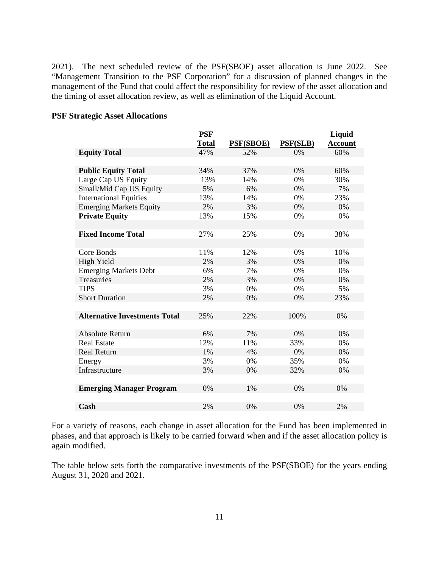2021). The next scheduled review of the PSF(SBOE) asset allocation is June 2022. See "Management Transition to the PSF Corporation" for a discussion of planned changes in the management of the Fund that could affect the responsibility for review of the asset allocation and the timing of asset allocation review, as well as elimination of the Liquid Account.

|                                      | <b>PSF</b><br><b>Total</b> | PSF(SBOE) | <b>PSF(SLB)</b> | Liquid<br><b>Account</b> |
|--------------------------------------|----------------------------|-----------|-----------------|--------------------------|
| <b>Equity Total</b>                  | 47%                        | 52%       | 0%              | 60%                      |
|                                      |                            |           |                 |                          |
| <b>Public Equity Total</b>           | 34%                        | 37%       | 0%              | 60%                      |
| Large Cap US Equity                  | 13%                        | 14%       | 0%              | 30%                      |
| Small/Mid Cap US Equity              | 5%                         | 6%        | 0%              | 7%                       |
| <b>International Equities</b>        | 13%                        | 14%       | 0%              | 23%                      |
| <b>Emerging Markets Equity</b>       | 2%                         | 3%        | 0%              | 0%                       |
| <b>Private Equity</b>                | 13%                        | 15%       | 0%              | 0%                       |
|                                      |                            |           |                 |                          |
| <b>Fixed Income Total</b>            | 27%                        | 25%       | 0%              | 38%                      |
|                                      |                            |           |                 |                          |
| Core Bonds                           | 11%                        | 12%       | 0%              | 10%                      |
| High Yield                           | 2%                         | 3%        | 0%              | 0%                       |
| <b>Emerging Markets Debt</b>         | 6%                         | 7%        | 0%              | 0%                       |
| Treasuries                           | 2%                         | 3%        | 0%              | 0%                       |
| <b>TIPS</b>                          | 3%                         | 0%        | 0%              | 5%                       |
| <b>Short Duration</b>                | 2%                         | 0%        | 0%              | 23%                      |
|                                      |                            |           |                 |                          |
| <b>Alternative Investments Total</b> | 25%                        | 22%       | 100%            | 0%                       |
|                                      |                            |           |                 |                          |
| <b>Absolute Return</b>               | 6%                         | 7%        | 0%              | 0%                       |
| <b>Real Estate</b>                   | 12%                        | 11%       | 33%             | 0%                       |
| <b>Real Return</b>                   | 1%                         | 4%        | 0%              | 0%                       |
| Energy                               | 3%                         | 0%        | 35%             | 0%                       |
| Infrastructure                       | 3%                         | 0%        | 32%             | 0%                       |
|                                      |                            |           |                 |                          |
| <b>Emerging Manager Program</b>      | 0%                         | 1%        | 0%              | 0%                       |
|                                      |                            |           |                 |                          |
| Cash                                 | 2%                         | 0%        | 0%              | 2%                       |

## **PSF Strategic Asset Allocations**

For a variety of reasons, each change in asset allocation for the Fund has been implemented in phases, and that approach is likely to be carried forward when and if the asset allocation policy is again modified.

The table below sets forth the comparative investments of the PSF(SBOE) for the years ending August 31, 2020 and 2021.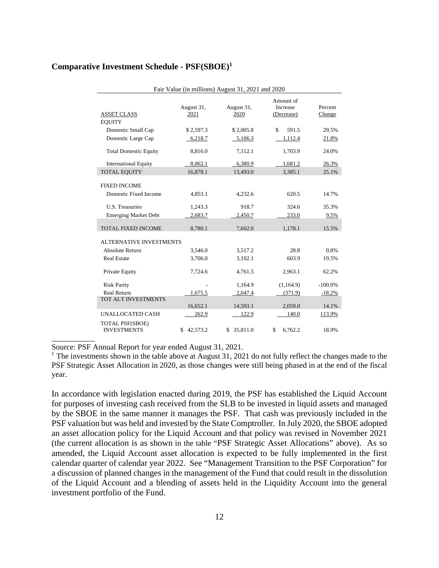| Comparative Investment Schedule - PSF(SBOE) <sup>1</sup> |  |  |  |  |
|----------------------------------------------------------|--|--|--|--|
|----------------------------------------------------------|--|--|--|--|

| Fair Value (in millions) August 31, 2021 and 2020 |                    |                    |                                     |                   |  |  |  |
|---------------------------------------------------|--------------------|--------------------|-------------------------------------|-------------------|--|--|--|
| <b>ASSET CLASS</b>                                | August 31,<br>2021 | August 31,<br>2020 | Amount of<br>Increase<br>(Decrease) | Percent<br>Change |  |  |  |
| <b>EQUITY</b>                                     |                    |                    |                                     |                   |  |  |  |
| Domestic Small Cap                                | \$2,597.3          | \$2,005.8          | \$<br>591.5                         | 29.5%             |  |  |  |
| Domestic Large Cap                                | 6,218.7            | 5,106.3            | 1,112.4                             | 21.8%             |  |  |  |
| <b>Total Domestic Equity</b>                      | 8,816.0            | 7,112.1            | 1,703.9                             | 24.0%             |  |  |  |
| <b>International Equity</b>                       | 8,062.1            | 6,380.9            | 1,681.2                             | 26.3%             |  |  |  |
| <b>TOTAL EQUITY</b>                               | 16,878.1           | 13,493.0           | 3,385.1                             | 25.1%             |  |  |  |
| <b>FIXED INCOME</b>                               |                    |                    |                                     |                   |  |  |  |
| Domestic Fixed Income                             | 4,853.1            | 4,232.6            | 620.5                               | 14.7%             |  |  |  |
| U.S. Treasuries                                   | 1,243.3            | 918.7              | 324.6                               | 35.3%             |  |  |  |
| <b>Emerging Market Debt</b>                       | 2,683.7            | 2,450.7            | 233.0                               | 9.5%              |  |  |  |
| TOTAL FIXED INCOME                                | 8,780.1            | 7,602.0            | 1,178.1                             | 15.5%             |  |  |  |
| <b>ALTERNATIVE INVESTMENTS</b>                    |                    |                    |                                     |                   |  |  |  |
| <b>Absolute Return</b>                            | 3,546.0            | 3,517.2            | 28.8                                | 0.8%              |  |  |  |
| <b>Real Estate</b>                                | 3,706.0            | 3,102.1            | 603.9                               | 19.5%             |  |  |  |
| Private Equity                                    | 7,724.6            | 4,761.5            | 2,963.1                             | 62.2%             |  |  |  |
| <b>Risk Parity</b>                                |                    | 1,164.9            | (1,164.9)                           | $-100.0\%$        |  |  |  |
| <b>Real Return</b>                                | 1,675.5            | 2,047.4            | (371.9)                             | $-18.2%$          |  |  |  |
| TOT ALT INVESTMENTS                               | 16,652.1           | 14,593.1           | 2,059.0                             | 14.1%             |  |  |  |
| UNALLOCATED CASH                                  | 262.9              | 122.9              | 140.0                               | 113.9%            |  |  |  |
| TOTAL PSF(SBOE)<br><b>INVESTMENTS</b>             | \$42,573.2         | 35,811.0<br>\$     | \$<br>6,762.2                       | 18.9%             |  |  |  |

Source: PSF Annual Report for year ended August 31, 2021.

 $1$  The investments shown in the table above at August 31, 2021 do not fully reflect the changes made to the PSF Strategic Asset Allocation in 2020, as those changes were still being phased in at the end of the fiscal year.

In accordance with legislation enacted during 2019, the PSF has established the Liquid Account for purposes of investing cash received from the SLB to be invested in liquid assets and managed by the SBOE in the same manner it manages the PSF. That cash was previously included in the PSF valuation but was held and invested by the State Comptroller. In July 2020, the SBOE adopted an asset allocation policy for the Liquid Account and that policy was revised in November 2021 (the current allocation is as shown in the table "PSF Strategic Asset Allocations" above). As so amended, the Liquid Account asset allocation is expected to be fully implemented in the first calendar quarter of calendar year 2022. See "Management Transition to the PSF Corporation" for a discussion of planned changes in the management of the Fund that could result in the dissolution of the Liquid Account and a blending of assets held in the Liquidity Account into the general investment portfolio of the Fund.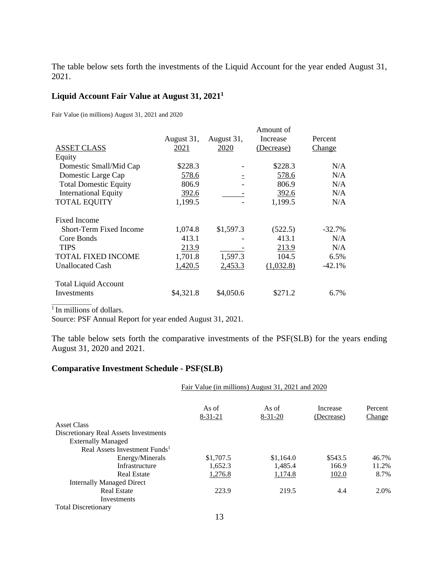The table below sets forth the investments of the Liquid Account for the year ended August 31, 2021.

# **Liquid Account Fair Value at August 31, 20211**

Fair Value (in millions) August 31, 2021 and 2020

|                                |            |            | Amount of  |           |
|--------------------------------|------------|------------|------------|-----------|
|                                | August 31, | August 31, | Increase   | Percent   |
| <b>ASSET CLASS</b>             | 2021       | 2020       | (Decrease) | Change    |
| Equity                         |            |            |            |           |
| Domestic Small/Mid Cap         | \$228.3    |            | \$228.3    | N/A       |
| Domestic Large Cap             | 578.6      |            | 578.6      | N/A       |
| <b>Total Domestic Equity</b>   | 806.9      |            | 806.9      | N/A       |
| <b>International Equity</b>    | 392.6      |            | 392.6      | N/A       |
| <b>TOTAL EQUITY</b>            | 1,199.5    |            | 1,199.5    | N/A       |
| <b>Fixed Income</b>            |            |            |            |           |
| <b>Short-Term Fixed Income</b> | 1,074.8    | \$1,597.3  | (522.5)    | $-32.7\%$ |
| Core Bonds                     | 413.1      |            | 413.1      | N/A       |
| <b>TIPS</b>                    | 213.9      |            | 213.9      | N/A       |
| <b>TOTAL FIXED INCOME</b>      | 1,701.8    | 1,597.3    | 104.5      | 6.5%      |
| <b>Unallocated Cash</b>        | 1,420.5    | 2,453.3    | (1,032.8)  | $-42.1%$  |
| <b>Total Liquid Account</b>    |            |            |            |           |
| <b>Investments</b>             | \$4,321.8  | \$4,050.6  | \$271.2    | 6.7%      |

<sup>1</sup> In millions of dollars.

Source: PSF Annual Report for year ended August 31, 2021.

The table below sets forth the comparative investments of the PSF(SLB) for the years ending August 31, 2020 and 2021.

# **Comparative Investment Schedule - PSF(SLB)**

|                                           | Fair Value (in millions) August 31, 2021 and 2020 |               |            |         |  |  |  |
|-------------------------------------------|---------------------------------------------------|---------------|------------|---------|--|--|--|
|                                           | As of                                             | As of         | Increase   | Percent |  |  |  |
| <b>Asset Class</b>                        | $8 - 31 - 21$                                     | $8 - 31 - 20$ | (Decrease) | Change  |  |  |  |
|                                           |                                                   |               |            |         |  |  |  |
| Discretionary Real Assets Investments     |                                                   |               |            |         |  |  |  |
| <b>Externally Managed</b>                 |                                                   |               |            |         |  |  |  |
| Real Assets Investment Funds <sup>1</sup> |                                                   |               |            |         |  |  |  |
| Energy/Minerals                           | \$1,707.5                                         | \$1,164.0     | \$543.5    | 46.7%   |  |  |  |
| Infrastructure                            | 1,652.3                                           | 1,485.4       | 166.9      | 11.2%   |  |  |  |
| <b>Real Estate</b>                        | 1,276.8                                           | 1,174.8       | 102.0      | 8.7%    |  |  |  |
| <b>Internally Managed Direct</b>          |                                                   |               |            |         |  |  |  |
| <b>Real Estate</b>                        | 223.9                                             | 219.5         | 4.4        | 2.0%    |  |  |  |
| Investments                               |                                                   |               |            |         |  |  |  |
| <b>Total Discretionary</b>                |                                                   |               |            |         |  |  |  |
|                                           | 13                                                |               |            |         |  |  |  |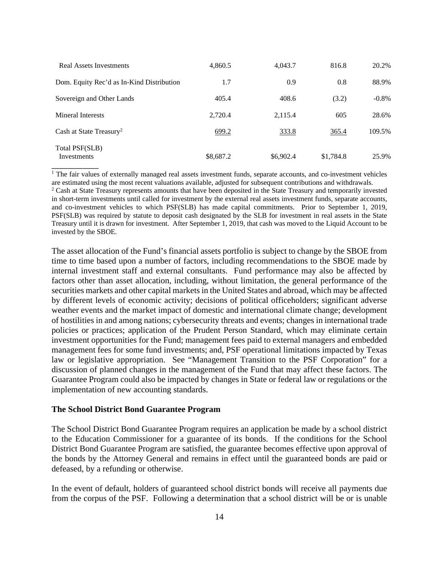| Real Assets Investments                   | 4,860.5   | 4,043.7   | 816.8     | 20.2%    |
|-------------------------------------------|-----------|-----------|-----------|----------|
| Dom. Equity Rec'd as In-Kind Distribution | 1.7       | 0.9       | 0.8       | 88.9%    |
| Sovereign and Other Lands                 | 405.4     | 408.6     | (3.2)     | $-0.8\%$ |
| Mineral Interests                         | 2,720.4   | 2,115.4   | 605       | 28.6%    |
| Cash at State Treasury <sup>2</sup>       | 699.2     | 333.8     | 365.4     | 109.5%   |
| Total PSF(SLB)<br><b>Investments</b>      | \$8,687.2 | \$6,902.4 | \$1,784.8 | 25.9%    |

<sup>1</sup> The fair values of externally managed real assets investment funds, separate accounts, and co-investment vehicles are estimated using the most recent valuations available, adjusted for subsequent contributions and withdrawals. 2

<sup>2</sup> Cash at State Treasury represents amounts that have been deposited in the State Treasury and temporarily invested in short-term investments until called for investment by the external real assets investment funds, separate accounts, and co-investment vehicles to which PSF(SLB) has made capital commitments. Prior to September 1, 2019, PSF(SLB) was required by statute to deposit cash designated by the SLB for investment in real assets in the State Treasury until it is drawn for investment. After September 1, 2019, that cash was moved to the Liquid Account to be invested by the SBOE.

The asset allocation of the Fund's financial assets portfolio is subject to change by the SBOE from time to time based upon a number of factors, including recommendations to the SBOE made by internal investment staff and external consultants. Fund performance may also be affected by factors other than asset allocation, including, without limitation, the general performance of the securities markets and other capital markets in the United States and abroad, which may be affected by different levels of economic activity; decisions of political officeholders; significant adverse weather events and the market impact of domestic and international climate change; development of hostilities in and among nations; cybersecurity threats and events; changes in international trade policies or practices; application of the Prudent Person Standard, which may eliminate certain investment opportunities for the Fund; management fees paid to external managers and embedded management fees for some fund investments; and, PSF operational limitations impacted by Texas law or legislative appropriation. See "Management Transition to the PSF Corporation" for a discussion of planned changes in the management of the Fund that may affect these factors. The Guarantee Program could also be impacted by changes in State or federal law or regulations or the implementation of new accounting standards.

#### **The School District Bond Guarantee Program**

The School District Bond Guarantee Program requires an application be made by a school district to the Education Commissioner for a guarantee of its bonds. If the conditions for the School District Bond Guarantee Program are satisfied, the guarantee becomes effective upon approval of the bonds by the Attorney General and remains in effect until the guaranteed bonds are paid or defeased, by a refunding or otherwise.

In the event of default, holders of guaranteed school district bonds will receive all payments due from the corpus of the PSF. Following a determination that a school district will be or is unable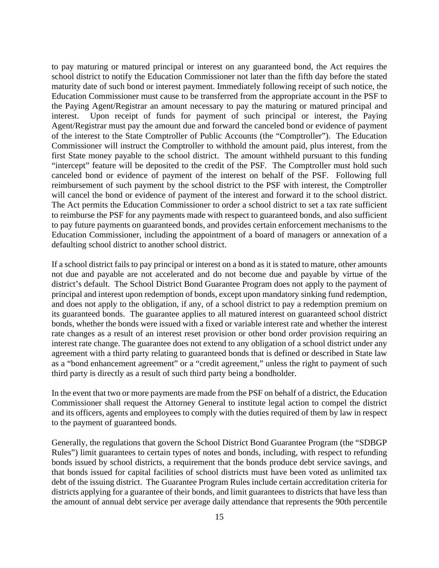will cancel the bond or evidence of payment of the interest and forward it to the school district. to pay maturing or matured principal or interest on any guaranteed bond, the Act requires the school district to notify the Education Commissioner not later than the fifth day before the stated maturity date of such bond or interest payment. Immediately following receipt of such notice, the Education Commissioner must cause to be transferred from the appropriate account in the PSF to the Paying Agent/Registrar an amount necessary to pay the maturing or matured principal and interest. Upon receipt of funds for payment of such principal or interest, the Paying Agent/Registrar must pay the amount due and forward the canceled bond or evidence of payment of the interest to the State Comptroller of Public Accounts (the "Comptroller"). The Education Commissioner will instruct the Comptroller to withhold the amount paid, plus interest, from the first State money payable to the school district. The amount withheld pursuant to this funding "intercept" feature will be deposited to the credit of the PSF. The Comptroller must hold such canceled bond or evidence of payment of the interest on behalf of the PSF. Following full reimbursement of such payment by the school district to the PSF with interest, the Comptroller The Act permits the Education Commissioner to order a school district to set a tax rate sufficient. to reimburse the PSF for any payments made with respect to guaranteed bonds, and also sufficient to pay future payments on guaranteed bonds, and provides certain enforcement mechanisms to the Education Commissioner, including the appointment of a board of managers or annexation of a defaulting school district to another school district.

If a school district fails to pay principal or interest on a bond as it is stated to mature, other amounts not due and payable are not accelerated and do not become due and payable by virtue of the district's default. The School District Bond Guarantee Program does not apply to the payment of principal and interest upon redemption of bonds, except upon mandatory sinking fund redemption, and does not apply to the obligation, if any, of a school district to pay a redemption premium on its guaranteed bonds. The guarantee applies to all matured interest on guaranteed school district bonds, whether the bonds were issued with a fixed or variable interest rate and whether the interest rate changes as a result of an interest reset provision or other bond order provision requiring an interest rate change. The guarantee does not extend to any obligation of a school district under any agreement with a third party relating to guaranteed bonds that is defined or described in State law as a "bond enhancement agreement" or a "credit agreement," unless the right to payment of such third party is directly as a result of such third party being a bondholder.

In the event that two or more payments are made from the PSF on behalf of a district, the Education Commissioner shall request the Attorney General to institute legal action to compel the district and its officers, agents and employees to comply with the duties required of them by law in respect to the payment of guaranteed bonds.

Generally, the regulations that govern the School District Bond Guarantee Program (the "SDBGP Rules") limit guarantees to certain types of notes and bonds, including, with respect to refunding bonds issued by school districts, a requirement that the bonds produce debt service savings, and that bonds issued for capital facilities of school districts must have been voted as unlimited tax debt of the issuing district. The Guarantee Program Rules include certain accreditation criteria for districts applying for a guarantee of their bonds, and limit guarantees to districts that have less than the amount of annual debt service per average daily attendance that represents the 90th percentile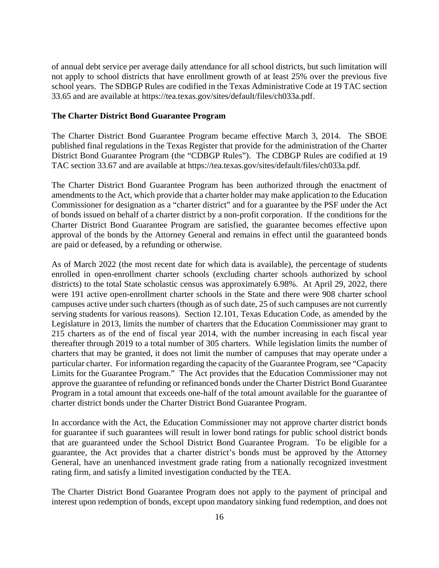of annual debt service per average daily attendance for all school districts, but such limitation will not apply to school districts that have enrollment growth of at least 25% over the previous five school years. The SDBGP Rules are codified in the Texas Administrative Code at 19 TAC section 33.65 and are available at <https://tea.texas.gov/sites/default/files/ch033a.pdf>.

#### **The Charter District Bond Guarantee Program**

The Charter District Bond Guarantee Program became effective March 3, 2014. The SBOE published final regulations in the Texas Register that provide for the administration of the Charter District Bond Guarantee Program (the "CDBGP Rules"). The CDBGP Rules are codified at 19 TAC section 33.67 and are available at <https://tea.texas.gov/sites/default/files/ch033a.pdf>.

The Charter District Bond Guarantee Program has been authorized through the enactment of amendments to the Act, which provide that a charter holder may make application to the Education Commissioner for designation as a "charter district" and for a guarantee by the PSF under the Act of bonds issued on behalf of a charter district by a non-profit corporation. If the conditions for the Charter District Bond Guarantee Program are satisfied, the guarantee becomes effective upon approval of the bonds by the Attorney General and remains in effect until the guaranteed bonds are paid or defeased, by a refunding or otherwise.

As of March 2022 (the most recent date for which data is available), the percentage of students enrolled in open-enrollment charter schools (excluding charter schools authorized by school districts) to the total State scholastic census was approximately 6.98%. At April 29, 2022, there were 191 active open-enrollment charter schools in the State and there were 908 charter school campuses active under such charters (though as of such date, 25 of such campuses are not currently serving students for various reasons). Section 12.101, Texas Education Code, as amended by the Legislature in 2013, limits the number of charters that the Education Commissioner may grant to 215 charters as of the end of fiscal year 2014, with the number increasing in each fiscal year thereafter through 2019 to a total number of 305 charters. While legislation limits the number of charters that may be granted, it does not limit the number of campuses that may operate under a particular charter. For information regarding the capacity of the Guarantee Program, see "Capacity Limits for the Guarantee Program." The Act provides that the Education Commissioner may not approve the guarantee of refunding or refinanced bonds under the Charter District Bond Guarantee Program in a total amount that exceeds one-half of the total amount available for the guarantee of charter district bonds under the Charter District Bond Guarantee Program.

In accordance with the Act, the Education Commissioner may not approve charter district bonds for guarantee if such guarantees will result in lower bond ratings for public school district bonds that are guaranteed under the School District Bond Guarantee Program. To be eligible for a guarantee, the Act provides that a charter district's bonds must be approved by the Attorney General, have an unenhanced investment grade rating from a nationally recognized investment rating firm, and satisfy a limited investigation conducted by the TEA.

The Charter District Bond Guarantee Program does not apply to the payment of principal and interest upon redemption of bonds, except upon mandatory sinking fund redemption, and does not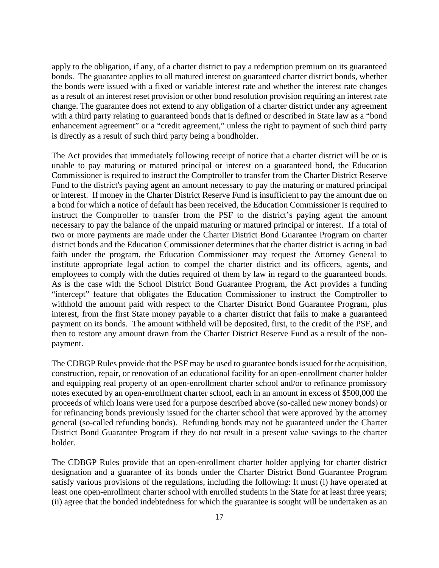apply to the obligation, if any, of a charter district to pay a redemption premium on its guaranteed bonds. The guarantee applies to all matured interest on guaranteed charter district bonds, whether the bonds were issued with a fixed or variable interest rate and whether the interest rate changes as a result of an interest reset provision or other bond resolution provision requiring an interest rate change. The guarantee does not extend to any obligation of a charter district under any agreement with a third party relating to guaranteed bonds that is defined or described in State law as a "bond enhancement agreement" or a "credit agreement," unless the right to payment of such third party is directly as a result of such third party being a bondholder.

The Act provides that immediately following receipt of notice that a charter district will be or is unable to pay maturing or matured principal or interest on a guaranteed bond, the Education Commissioner is required to instruct the Comptroller to transfer from the Charter District Reserve Fund to the district's paying agent an amount necessary to pay the maturing or matured principal or interest. If money in the Charter District Reserve Fund is insufficient to pay the amount due on a bond for which a notice of default has been received, the Education Commissioner is required to instruct the Comptroller to transfer from the PSF to the district's paying agent the amount necessary to pay the balance of the unpaid maturing or matured principal or interest. If a total of two or more payments are made under the Charter District Bond Guarantee Program on charter district bonds and the Education Commissioner determines that the charter district is acting in bad faith under the program, the Education Commissioner may request the Attorney General to institute appropriate legal action to compel the charter district and its officers, agents, and employees to comply with the duties required of them by law in regard to the guaranteed bonds. As is the case with the School District Bond Guarantee Program, the Act provides a funding "intercept" feature that obligates the Education Commissioner to instruct the Comptroller to withhold the amount paid with respect to the Charter District Bond Guarantee Program, plus interest, from the first State money payable to a charter district that fails to make a guaranteed payment on its bonds. The amount withheld will be deposited, first, to the credit of the PSF, and then to restore any amount drawn from the Charter District Reserve Fund as a result of the nonpayment.

The CDBGP Rules provide that the PSF may be used to guarantee bonds issued for the acquisition, construction, repair, or renovation of an educational facility for an open-enrollment charter holder and equipping real property of an open-enrollment charter school and/or to refinance promissory notes executed by an open-enrollment charter school, each in an amount in excess of \$500,000 the proceeds of which loans were used for a purpose described above (so-called new money bonds) or for refinancing bonds previously issued for the charter school that were approved by the attorney general (so-called refunding bonds). Refunding bonds may not be guaranteed under the Charter District Bond Guarantee Program if they do not result in a present value savings to the charter holder.

The CDBGP Rules provide that an open-enrollment charter holder applying for charter district designation and a guarantee of its bonds under the Charter District Bond Guarantee Program satisfy various provisions of the regulations, including the following: It must (i) have operated at least one open-enrollment charter school with enrolled students in the State for at least three years; (ii) agree that the bonded indebtedness for which the guarantee is sought will be undertaken as an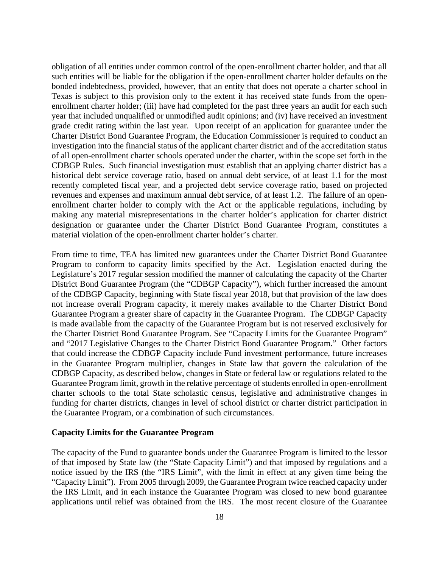obligation of all entities under common control of the open-enrollment charter holder, and that all such entities will be liable for the obligation if the open-enrollment charter holder defaults on the bonded indebtedness, provided, however, that an entity that does not operate a charter school in Texas is subject to this provision only to the extent it has received state funds from the openenrollment charter holder; (iii) have had completed for the past three years an audit for each such year that included unqualified or unmodified audit opinions; and (iv) have received an investment grade credit rating within the last year. Upon receipt of an application for guarantee under the Charter District Bond Guarantee Program, the Education Commissioner is required to conduct an investigation into the financial status of the applicant charter district and of the accreditation status of all open-enrollment charter schools operated under the charter, within the scope set forth in the CDBGP Rules. Such financial investigation must establish that an applying charter district has a historical debt service coverage ratio, based on annual debt service, of at least 1.1 for the most recently completed fiscal year, and a projected debt service coverage ratio, based on projected revenues and expenses and maximum annual debt service, of at least 1.2. The failure of an openenrollment charter holder to comply with the Act or the applicable regulations, including by making any material misrepresentations in the charter holder's application for charter district designation or guarantee under the Charter District Bond Guarantee Program, constitutes a material violation of the open-enrollment charter holder's charter.

From time to time, TEA has limited new guarantees under the Charter District Bond Guarantee Program to conform to capacity limits specified by the Act. Legislation enacted during the Legislature's 2017 regular session modified the manner of calculating the capacity of the Charter District Bond Guarantee Program (the "CDBGP Capacity"), which further increased the amount of the CDBGP Capacity, beginning with State fiscal year 2018, but that provision of the law does not increase overall Program capacity, it merely makes available to the Charter District Bond Guarantee Program a greater share of capacity in the Guarantee Program. The CDBGP Capacity is made available from the capacity of the Guarantee Program but is not reserved exclusively for the Charter District Bond Guarantee Program. See "Capacity Limits for the Guarantee Program" and "2017 Legislative Changes to the Charter District Bond Guarantee Program." Other factors that could increase the CDBGP Capacity include Fund investment performance, future increases in the Guarantee Program multiplier, changes in State law that govern the calculation of the CDBGP Capacity, as described below, changes in State or federal law or regulations related to the Guarantee Program limit, growth in the relative percentage of students enrolled in open-enrollment charter schools to the total State scholastic census, legislative and administrative changes in funding for charter districts, changes in level of school district or charter district participation in the Guarantee Program, or a combination of such circumstances.

#### **Capacity Limits for the Guarantee Program**

The capacity of the Fund to guarantee bonds under the Guarantee Program is limited to the lessor of that imposed by State law (the "State Capacity Limit") and that imposed by regulations and a notice issued by the IRS (the "IRS Limit", with the limit in effect at any given time being the "Capacity Limit"). From 2005 through 2009, the Guarantee Program twice reached capacity under the IRS Limit, and in each instance the Guarantee Program was closed to new bond guarantee applications until relief was obtained from the IRS. The most recent closure of the Guarantee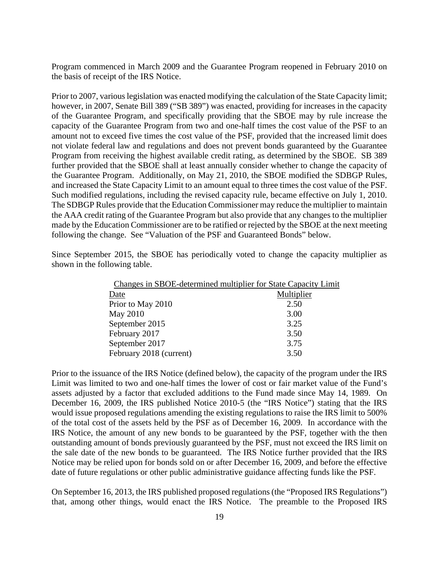Program commenced in March 2009 and the Guarantee Program reopened in February 2010 on the basis of receipt of the IRS Notice.

Prior to 2007, various legislation was enacted modifying the calculation of the State Capacity limit; however, in 2007, Senate Bill 389 ("SB 389") was enacted, providing for increases in the capacity of the Guarantee Program, and specifically providing that the SBOE may by rule increase the capacity of the Guarantee Program from two and one-half times the cost value of the PSF to an amount not to exceed five times the cost value of the PSF, provided that the increased limit does not violate federal law and regulations and does not prevent bonds guaranteed by the Guarantee Program from receiving the highest available credit rating, as determined by the SBOE. SB 389 further provided that the SBOE shall at least annually consider whether to change the capacity of the Guarantee Program. Additionally, on May 21, 2010, the SBOE modified the SDBGP Rules, and increased the State Capacity Limit to an amount equal to three times the cost value of the PSF. Such modified regulations, including the revised capacity rule, became effective on July 1, 2010. The SDBGP Rules provide that the Education Commissioner may reduce the multiplier to maintain the AAA credit rating of the Guarantee Program but also provide that any changes to the multiplier made by the Education Commissioner are to be ratified or rejected by the SBOE at the next meeting following the change. See "Valuation of the PSF and Guaranteed Bonds" below.

Since September 2015, the SBOE has periodically voted to change the capacity multiplier as shown in the following table.

| Changes in SBOE-determined multiplier for State Capacity Limit |            |
|----------------------------------------------------------------|------------|
| Date                                                           | Multiplier |
| Prior to May 2010                                              | 2.50       |
| May 2010                                                       | 3.00       |
| September 2015                                                 | 3.25       |
| February 2017                                                  | 3.50       |
| September 2017                                                 | 3.75       |
| February 2018 (current)                                        | 3.50       |

Prior to the issuance of the IRS Notice (defined below), the capacity of the program under the IRS Limit was limited to two and one-half times the lower of cost or fair market value of the Fund's assets adjusted by a factor that excluded additions to the Fund made since May 14, 1989. On December 16, 2009, the IRS published Notice 2010-5 (the "IRS Notice") stating that the IRS would issue proposed regulations amending the existing regulations to raise the IRS limit to 500% of the total cost of the assets held by the PSF as of December 16, 2009. In accordance with the IRS Notice, the amount of any new bonds to be guaranteed by the PSF, together with the then outstanding amount of bonds previously guaranteed by the PSF, must not exceed the IRS limit on the sale date of the new bonds to be guaranteed. The IRS Notice further provided that the IRS Notice may be relied upon for bonds sold on or after December 16, 2009, and before the effective date of future regulations or other public administrative guidance affecting funds like the PSF.

On September 16, 2013, the IRS published proposed regulations (the "Proposed IRS Regulations") that, among other things, would enact the IRS Notice. The preamble to the Proposed IRS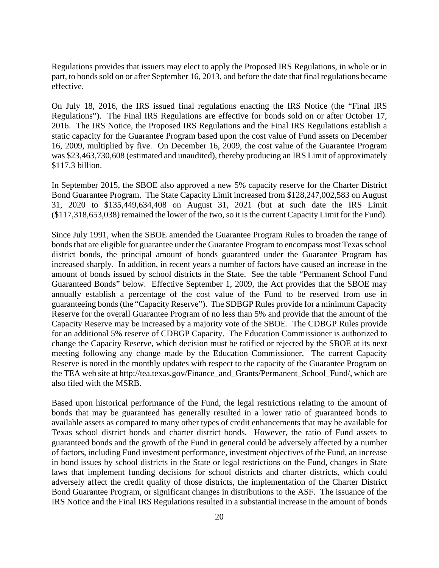Regulations provides that issuers may elect to apply the Proposed IRS Regulations, in whole or in part, to bonds sold on or after September 16, 2013, and before the date that final regulations became effective.

On July 18, 2016, the IRS issued final regulations enacting the IRS Notice (the "Final IRS Regulations"). The Final IRS Regulations are effective for bonds sold on or after October 17, 2016. The IRS Notice, the Proposed IRS Regulations and the Final IRS Regulations establish a static capacity for the Guarantee Program based upon the cost value of Fund assets on December 16, 2009, multiplied by five. On December 16, 2009, the cost value of the Guarantee Program was \$23,463,730,608 (estimated and unaudited), thereby producing an IRS Limit of approximately \$117.3 billion.

In September 2015, the SBOE also approved a new 5% capacity reserve for the Charter District Bond Guarantee Program. The State Capacity Limit increased from \$128,247,002,583 on August 31, 2020 to \$135,449,634,408 on August 31, 2021 (but at such date the IRS Limit (\$117,318,653,038) remained the lower of the two, so it is the current Capacity Limit for the Fund).

Since July 1991, when the SBOE amended the Guarantee Program Rules to broaden the range of bonds that are eligible for guarantee under the Guarantee Program to encompass most Texas school district bonds, the principal amount of bonds guaranteed under the Guarantee Program has increased sharply. In addition, in recent years a number of factors have caused an increase in the amount of bonds issued by school districts in the State. See the table "Permanent School Fund Guaranteed Bonds" below. Effective September 1, 2009, the Act provides that the SBOE may annually establish a percentage of the cost value of the Fund to be reserved from use in guaranteeing bonds (the "Capacity Reserve"). The SDBGP Rules provide for a minimum Capacity Reserve for the overall Guarantee Program of no less than 5% and provide that the amount of the Capacity Reserve may be increased by a majority vote of the SBOE. The CDBGP Rules provide for an additional 5% reserve of CDBGP Capacity. The Education Commissioner is authorized to change the Capacity Reserve, which decision must be ratified or rejected by the SBOE at its next meeting following any change made by the Education Commissioner. The current Capacity Reserve is noted in the monthly updates with respect to the capacity of the Guarantee Program on the TEA web site at [http://tea.texas.gov/Finance\\_and\\_Grants/Permanent\\_School\\_Fund](http://tea.texas.gov/Finance_and_Grants/Permanent_School_Fund)/, which are also filed with the MSRB.

Based upon historical performance of the Fund, the legal restrictions relating to the amount of bonds that may be guaranteed has generally resulted in a lower ratio of guaranteed bonds to available assets as compared to many other types of credit enhancements that may be available for Texas school district bonds and charter district bonds. However, the ratio of Fund assets to guaranteed bonds and the growth of the Fund in general could be adversely affected by a number of factors, including Fund investment performance, investment objectives of the Fund, an increase in bond issues by school districts in the State or legal restrictions on the Fund, changes in State laws that implement funding decisions for school districts and charter districts, which could adversely affect the credit quality of those districts, the implementation of the Charter District Bond Guarantee Program, or significant changes in distributions to the ASF. The issuance of the IRS Notice and the Final IRS Regulations resulted in a substantial increase in the amount of bonds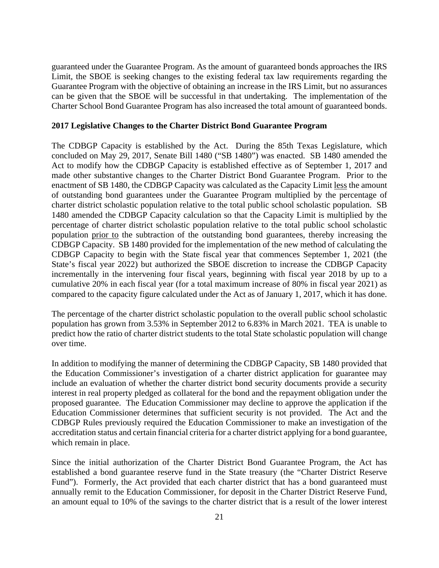guaranteed under the Guarantee Program. As the amount of guaranteed bonds approaches the IRS Limit, the SBOE is seeking changes to the existing federal tax law requirements regarding the Guarantee Program with the objective of obtaining an increase in the IRS Limit, but no assurances can be given that the SBOE will be successful in that undertaking. The implementation of the Charter School Bond Guarantee Program has also increased the total amount of guaranteed bonds.

#### **2017 Legislative Changes to the Charter District Bond Guarantee Program**

The CDBGP Capacity is established by the Act. During the 85th Texas Legislature, which concluded on May 29, 2017, Senate Bill 1480 ("SB 1480") was enacted. SB 1480 amended the Act to modify how the CDBGP Capacity is established effective as of September 1, 2017 and made other substantive changes to the Charter District Bond Guarantee Program. Prior to the enactment of SB 1480, the CDBGP Capacity was calculated as the Capacity Limit less the amount of outstanding bond guarantees under the Guarantee Program multiplied by the percentage of charter district scholastic population relative to the total public school scholastic population. SB 1480 amended the CDBGP Capacity calculation so that the Capacity Limit is multiplied by the percentage of charter district scholastic population relative to the total public school scholastic population prior to the subtraction of the outstanding bond guarantees, thereby increasing the CDBGP Capacity. SB 1480 provided for the implementation of the new method of calculating the CDBGP Capacity to begin with the State fiscal year that commences September 1, 2021 (the State's fiscal year 2022) but authorized the SBOE discretion to increase the CDBGP Capacity incrementally in the intervening four fiscal years, beginning with fiscal year 2018 by up to a cumulative 20% in each fiscal year (for a total maximum increase of 80% in fiscal year 2021) as compared to the capacity figure calculated under the Act as of January 1, 2017, which it has done.

The percentage of the charter district scholastic population to the overall public school scholastic population has grown from 3.53% in September 2012 to 6.83% in March 2021. TEA is unable to predict how the ratio of charter district students to the total State scholastic population will change over time.

In addition to modifying the manner of determining the CDBGP Capacity, SB 1480 provided that the Education Commissioner's investigation of a charter district application for guarantee may include an evaluation of whether the charter district bond security documents provide a security interest in real property pledged as collateral for the bond and the repayment obligation under the proposed guarantee. The Education Commissioner may decline to approve the application if the Education Commissioner determines that sufficient security is not provided. The Act and the CDBGP Rules previously required the Education Commissioner to make an investigation of the accreditation status and certain financial criteria for a charter district applying for a bond guarantee, which remain in place.

Since the initial authorization of the Charter District Bond Guarantee Program, the Act has established a bond guarantee reserve fund in the State treasury (the "Charter District Reserve Fund"). Formerly, the Act provided that each charter district that has a bond guaranteed must annually remit to the Education Commissioner, for deposit in the Charter District Reserve Fund, an amount equal to 10% of the savings to the charter district that is a result of the lower interest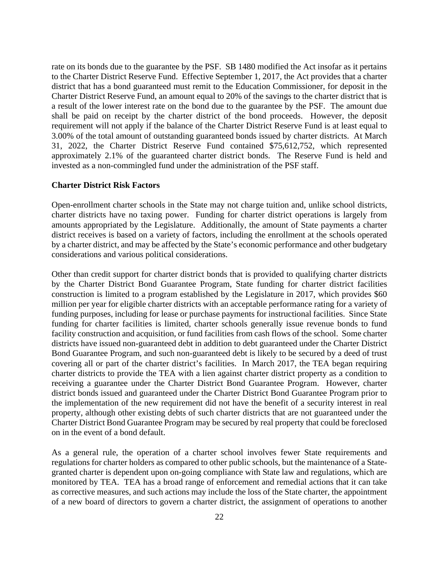rate on its bonds due to the guarantee by the PSF. SB 1480 modified the Act insofar as it pertains to the Charter District Reserve Fund. Effective September 1, 2017, the Act provides that a charter district that has a bond guaranteed must remit to the Education Commissioner, for deposit in the Charter District Reserve Fund, an amount equal to 20% of the savings to the charter district that is a result of the lower interest rate on the bond due to the guarantee by the PSF. The amount due shall be paid on receipt by the charter district of the bond proceeds. However, the deposit requirement will not apply if the balance of the Charter District Reserve Fund is at least equal to 3.00% of the total amount of outstanding guaranteed bonds issued by charter districts. At March 31, 2022, the Charter District Reserve Fund contained \$75,612,752, which represented approximately 2.1% of the guaranteed charter district bonds. The Reserve Fund is held and invested as a non-commingled fund under the administration of the PSF staff.

#### **Charter District Risk Factors**

Open-enrollment charter schools in the State may not charge tuition and, unlike school districts, charter districts have no taxing power. Funding for charter district operations is largely from amounts appropriated by the Legislature. Additionally, the amount of State payments a charter district receives is based on a variety of factors, including the enrollment at the schools operated by a charter district, and may be affected by the State's economic performance and other budgetary considerations and various political considerations.

Other than credit support for charter district bonds that is provided to qualifying charter districts by the Charter District Bond Guarantee Program, State funding for charter district facilities construction is limited to a program established by the Legislature in 2017, which provides \$60 million per year for eligible charter districts with an acceptable performance rating for a variety of funding purposes, including for lease or purchase payments for instructional facilities. Since State funding for charter facilities is limited, charter schools generally issue revenue bonds to fund facility construction and acquisition, or fund facilities from cash flows of the school. Some charter districts have issued non-guaranteed debt in addition to debt guaranteed under the Charter District Bond Guarantee Program, and such non-guaranteed debt is likely to be secured by a deed of trust covering all or part of the charter district's facilities. In March 2017, the TEA began requiring charter districts to provide the TEA with a lien against charter district property as a condition to receiving a guarantee under the Charter District Bond Guarantee Program. However, charter district bonds issued and guaranteed under the Charter District Bond Guarantee Program prior to the implementation of the new requirement did not have the benefit of a security interest in real property, although other existing debts of such charter districts that are not guaranteed under the Charter District Bond Guarantee Program may be secured by real property that could be foreclosed on in the event of a bond default.

As a general rule, the operation of a charter school involves fewer State requirements and regulations for charter holders as compared to other public schools, but the maintenance of a Stategranted charter is dependent upon on-going compliance with State law and regulations, which are monitored by TEA. TEA has a broad range of enforcement and remedial actions that it can take as corrective measures, and such actions may include the loss of the State charter, the appointment of a new board of directors to govern a charter district, the assignment of operations to another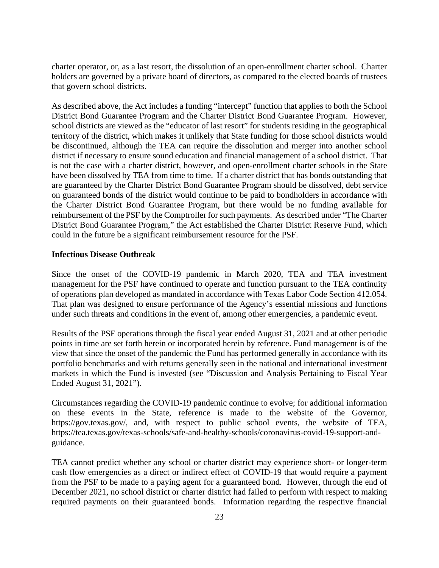charter operator, or, as a last resort, the dissolution of an open-enrollment charter school. Charter holders are governed by a private board of directors, as compared to the elected boards of trustees that govern school districts.

As described above, the Act includes a funding "intercept" function that applies to both the School District Bond Guarantee Program and the Charter District Bond Guarantee Program. However, school districts are viewed as the "educator of last resort" for students residing in the geographical territory of the district, which makes it unlikely that State funding for those school districts would be discontinued, although the TEA can require the dissolution and merger into another school district if necessary to ensure sound education and financial management of a school district. That is not the case with a charter district, however, and open-enrollment charter schools in the State have been dissolved by TEA from time to time. If a charter district that has bonds outstanding that are guaranteed by the Charter District Bond Guarantee Program should be dissolved, debt service on guaranteed bonds of the district would continue to be paid to bondholders in accordance with the Charter District Bond Guarantee Program, but there would be no funding available for reimbursement of the PSF by the Comptroller for such payments. As described under "The Charter District Bond Guarantee Program," the Act established the Charter District Reserve Fund, which could in the future be a significant reimbursement resource for the PSF.

## **Infectious Disease Outbreak**

Since the onset of the COVID-19 pandemic in March 2020, TEA and TEA investment management for the PSF have continued to operate and function pursuant to the TEA continuity of operations plan developed as mandated in accordance with Texas Labor Code Section 412.054. That plan was designed to ensure performance of the Agency's essential missions and functions under such threats and conditions in the event of, among other emergencies, a pandemic event.

Results of the PSF operations through the fiscal year ended August 31, 2021 and at other periodic points in time are set forth herein or incorporated herein by reference. Fund management is of the view that since the onset of the pandemic the Fund has performed generally in accordance with its portfolio benchmarks and with returns generally seen in the national and international investment markets in which the Fund is invested (see "Discussion and Analysis Pertaining to Fiscal Year Ended August 31, 2021").

Circumstances regarding the COVID-19 pandemic continue to evolve; for additional information on these events in the State, reference is made to the website of the Governor, <https://gov.texas.gov>/, and, with respect to public school events, the website of TEA, <https://tea.texas.gov/texas-schools/safe-and-healthy-schools/coronavirus-covid-19-support-and>guidance.

TEA cannot predict whether any school or charter district may experience short- or longer-term cash flow emergencies as a direct or indirect effect of COVID-19 that would require a payment from the PSF to be made to a paying agent for a guaranteed bond. However, through the end of December 2021, no school district or charter district had failed to perform with respect to making required payments on their guaranteed bonds. Information regarding the respective financial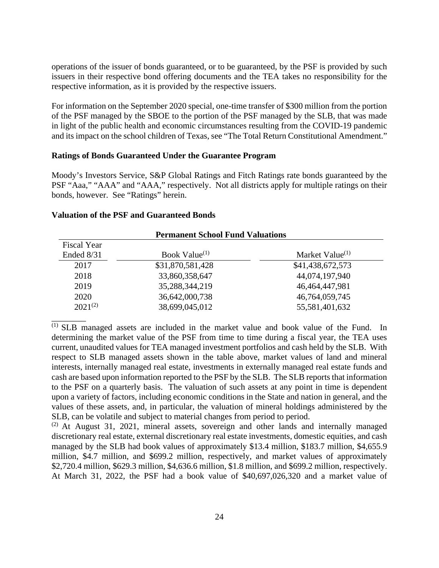operations of the issuer of bonds guaranteed, or to be guaranteed, by the PSF is provided by such issuers in their respective bond offering documents and the TEA takes no responsibility for the respective information, as it is provided by the respective issuers.

For information on the September 2020 special, one-time transfer of \$300 million from the portion of the PSF managed by the SBOE to the portion of the PSF managed by the SLB, that was made in light of the public health and economic circumstances resulting from the COVID-19 pandemic and its impact on the school children of Texas, see "The Total Return Constitutional Amendment."

## **Ratings of Bonds Guaranteed Under the Guarantee Program**

Moody's Investors Service, S&P Global Ratings and Fitch Ratings rate bonds guaranteed by the PSF "Aaa," "AAA" and "AAA," respectively. Not all districts apply for multiple ratings on their bonds, however. See "Ratings" herein.

 $\overline{\phantom{a}}$ 

|                    | <b>Permanent School Fund Valuations</b> |                    |
|--------------------|-----------------------------------------|--------------------|
| <b>Fiscal Year</b> |                                         |                    |
| Ended 8/31         | Book Value $(1)$                        | Market Value $(1)$ |
| 2017               | \$31,870,581,428                        | \$41,438,672,573   |
| 2018               | 33,860,358,647                          | 44,074,197,940     |
| 2019               | 35,288,344,219                          | 46,464,447,981     |
| 2020               | 36,642,000,738                          | 46,764,059,745     |
| $2021^{(2)}$       | 38,699,045,012                          | 55,581,401,632     |

(1) SLB managed assets are included in the market value and book value of the Fund. In determining the market value of the PSF from time to time during a fiscal year, the TEA uses current, unaudited values for TEA managed investment portfolios and cash held by the SLB. With respect to SLB managed assets shown in the table above, market values of land and mineral interests, internally managed real estate, investments in externally managed real estate funds and cash are based upon information reported to the PSF by the SLB. The SLB reports that information to the PSF on a quarterly basis. The valuation of such assets at any point in time is dependent upon a variety of factors, including economic conditions in the State and nation in general, and the values of these assets, and, in particular, the valuation of mineral holdings administered by the SLB, can be volatile and subject to material changes from period to period.

\$2,720.4 million, \$629.3 million, \$4,636.6 million, \$1.8 million, and \$699.2 million, respectively. (2) At August 31, 2021, mineral assets, sovereign and other lands and internally managed discretionary real estate, external discretionary real estate investments, domestic equities, and cash managed by the SLB had book values of approximately \$13.4 million, \$183.7 million, \$4,655.9 million, \$4.7 million, and \$699.2 million, respectively, and market values of approximately At March 31, 2022, the PSF had a book value of \$40,697,026,320 and a market value of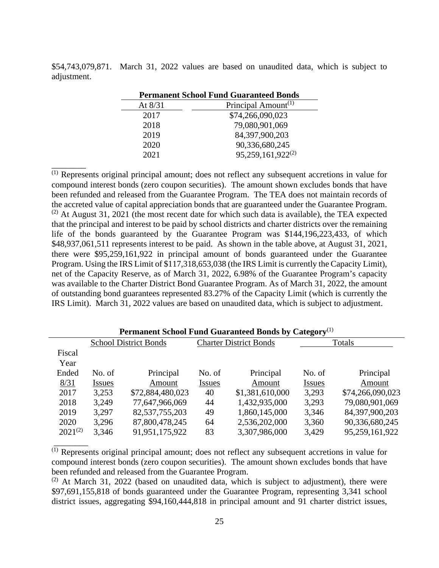\$54,743,079,871. March 31, 2022 values are based on unaudited data, which is subject to adjustment.

| <b>Permanent School Fund Guaranteed Bonds</b> |                                 |  |  |  |  |
|-----------------------------------------------|---------------------------------|--|--|--|--|
| At $8/31$                                     | Principal Amount <sup>(1)</sup> |  |  |  |  |
| 2017                                          | \$74,266,090,023                |  |  |  |  |
| 2018                                          | 79,080,901,069                  |  |  |  |  |
| 2019                                          | 84,397,900,203                  |  |  |  |  |
| 2020                                          | 90,336,680,245                  |  |  |  |  |
| 2021                                          | 95,259,161,922 <sup>(2)</sup>   |  |  |  |  |

 $\overline{\phantom{a}}$   $\overline{\phantom{a}}$ 

 $\overline{\phantom{a}}$   $\overline{\phantom{a}}$ 

(1) Represents original principal amount; does not reflect any subsequent accretions in value for compound interest bonds (zero coupon securities). The amount shown excludes bonds that have been refunded and released from the Guarantee Program. The TEA does not maintain records of the accreted value of capital appreciation bonds that are guaranteed under the Guarantee Program.  $(2)$  At August 31, 2021 (the most recent date for which such data is available), the TEA expected that the principal and interest to be paid by school districts and charter districts over the remaining life of the bonds guaranteed by the Guarantee Program was \$144,196,223,433, of which \$48,937,061,511 represents interest to be paid. As shown in the table above, at August 31, 2021, there were \$95,259,161,922 in principal amount of bonds guaranteed under the Guarantee Program. Using the IRS Limit of \$117,318,653,038 (the IRS Limit is currently the Capacity Limit), net of the Capacity Reserve, as of March 31, 2022, 6.98% of the Guarantee Program's capacity was available to the Charter District Bond Guarantee Program. As of March 31, 2022, the amount of outstanding bond guarantees represented 83.27% of the Capacity Limit (which is currently the IRS Limit). March 31, 2022 values are based on unaudited data, which is subject to adjustment.

| Permanent School Fund Guaranteed Bonds by Category <sup>(1)</sup> |               |                              |               |                               |               |                  |  |  |
|-------------------------------------------------------------------|---------------|------------------------------|---------------|-------------------------------|---------------|------------------|--|--|
|                                                                   |               | <b>School District Bonds</b> |               | <b>Charter District Bonds</b> | Totals        |                  |  |  |
| Fiscal                                                            |               |                              |               |                               |               |                  |  |  |
| Year                                                              |               |                              |               |                               |               |                  |  |  |
| Ended                                                             | No. of        | Principal                    | No. of        | Principal                     | No. of        | Principal        |  |  |
| 8/31                                                              | <b>Issues</b> | Amount                       | <b>Issues</b> | Amount                        | <b>Issues</b> | Amount           |  |  |
| 2017                                                              | 3,253         | \$72,884,480,023             | 40            | \$1,381,610,000               | 3.293         | \$74,266,090,023 |  |  |
| 2018                                                              | 3,249         | 77,647,966,069               | 44            | 1,432,935,000                 | 3.293         | 79,080,901,069   |  |  |
| 2019                                                              | 3,297         | 82,537,755,203               | 49            | 1,860,145,000                 | 3,346         | 84,397,900,203   |  |  |
| 2020                                                              | 3,296         | 87,800,478,245               | 64            | 2,536,202,000                 | 3,360         | 90,336,680,245   |  |  |
| $2021^{(2)}$                                                      | 3,346         | 91,951,175,922               | 83            | 3,307,986,000                 | 3,429         | 95,259,161,922   |  |  |

(1) Represents original principal amount; does not reflect any subsequent accretions in value for compound interest bonds (zero coupon securities). The amount shown excludes bonds that have been refunded and released from the Guarantee Program.

 $(2)$  At March 31, 2022 (based on unaudited data, which is subject to adjustment), there were \$97,691,155,818 of bonds guaranteed under the Guarantee Program, representing 3,341 school district issues, aggregating \$94,160,444,818 in principal amount and 91 charter district issues,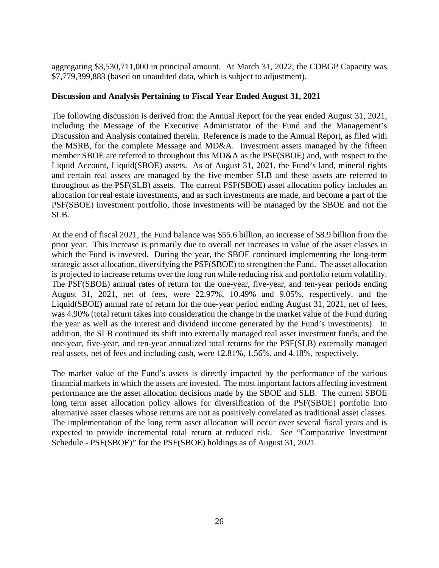aggregating \$3,530,711,000 in principal amount. At March 31, 2022, the CDBGP Capacity was \$7,779,399,883 (based on unaudited data, which is subject to adjustment).

# **Discussion and Analysis Pertaining to Fiscal Year Ended August 31, 2021**

The following discussion is derived from the Annual Report for the year ended August 31, 2021, including the Message of the Executive Administrator of the Fund and the Management's Discussion and Analysis contained therein. Reference is made to the Annual Report, as filed with the MSRB, for the complete Message and MD&A. Investment assets managed by the fifteen member SBOE are referred to throughout this MD&A as the PSF(SBOE) and, with respect to the Liquid Account, Liquid(SBOE) assets. As of August 31, 2021, the Fund's land, mineral rights and certain real assets are managed by the five-member SLB and these assets are referred to throughout as the PSF(SLB) assets. The current PSF(SBOE) asset allocation policy includes an allocation for real estate investments, and as such investments are made, and become a part of the PSF(SBOE) investment portfolio, those investments will be managed by the SBOE and not the SLB.

is projected to increase returns over the long run while reducing risk and portfolio return volatility. At the end of fiscal 2021, the Fund balance was \$55.6 billion, an increase of \$8.9 billion from the prior year. This increase is primarily due to overall net increases in value of the asset classes in which the Fund is invested. During the year, the SBOE continued implementing the long-term strategic asset allocation, diversifying the PSF(SBOE) to strengthen the Fund. The asset allocation The PSF(SBOE) annual rates of return for the one-year, five-year, and ten-year periods ending August 31, 2021, net of fees, were 22.97%, 10.49% and 9.05%, respectively, and the Liquid(SBOE) annual rate of return for the one-year period ending August 31, 2021, net of fees, was 4.90% (total return takes into consideration the change in the market value of the Fund during the year as well as the interest and dividend income generated by the Fund's investments). In addition, the SLB continued its shift into externally managed real asset investment funds, and the one-year, five-year, and ten-year annualized total returns for the PSF(SLB) externally managed real assets, net of fees and including cash, were 12.81%, 1.56%, and 4.18%, respectively.

alternative asset classes whose returns are not as positively correlated as traditional asset classes. The market value of the Fund's assets is directly impacted by the performance of the various financial markets in which the assets are invested. The most important factors affecting investment performance are the asset allocation decisions made by the SBOE and SLB. The current SBOE long term asset allocation policy allows for diversification of the PSF(SBOE) portfolio into The implementation of the long term asset allocation will occur over several fiscal years and is expected to provide incremental total return at reduced risk. See "Comparative Investment Schedule - PSF(SBOE)" for the PSF(SBOE) holdings as of August 31, 2021.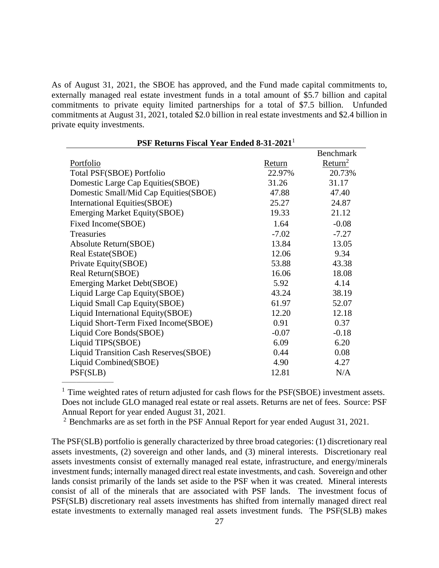As of August 31, 2021, the SBOE has approved, and the Fund made capital commitments to, externally managed real estate investment funds in a total amount of \$5.7 billion and capital commitments to private equity limited partnerships for a total of \$7.5 billion. Unfunded commitments at August 31, 2021, totaled \$2.0 billion in real estate investments and \$2.4 billion in private equity investments.

| 1 SF Returns Fiscar I car Emucu 0-31-2021 |         |                     |
|-------------------------------------------|---------|---------------------|
|                                           |         | <b>Benchmark</b>    |
| Portfolio                                 | Return  | Return <sup>2</sup> |
| Total PSF(SBOE) Portfolio                 | 22.97%  | 20.73%              |
| Domestic Large Cap Equities (SBOE)        | 31.26   | 31.17               |
| Domestic Small/Mid Cap Equities(SBOE)     | 47.88   | 47.40               |
| <b>International Equities (SBOE)</b>      | 25.27   | 24.87               |
| <b>Emerging Market Equity (SBOE)</b>      | 19.33   | 21.12               |
| Fixed Income(SBOE)                        | 1.64    | $-0.08$             |
| Treasuries                                | $-7.02$ | $-7.27$             |
| Absolute Return(SBOE)                     | 13.84   | 13.05               |
| Real Estate(SBOE)                         | 12.06   | 9.34                |
| Private Equity(SBOE)                      | 53.88   | 43.38               |
| Real Return(SBOE)                         | 16.06   | 18.08               |
| <b>Emerging Market Debt(SBOE)</b>         | 5.92    | 4.14                |
| Liquid Large Cap Equity(SBOE)             | 43.24   | 38.19               |
| Liquid Small Cap Equity(SBOE)             | 61.97   | 52.07               |
| Liquid International Equity(SBOE)         | 12.20   | 12.18               |
| Liquid Short-Term Fixed Income(SBOE)      | 0.91    | 0.37                |
| Liquid Core Bonds(SBOE)                   | $-0.07$ | $-0.18$             |
| Liquid TIPS(SBOE)                         | 6.09    | 6.20                |
| Liquid Transition Cash Reserves(SBOE)     | 0.44    | 0.08                |
| Liquid Combined(SBOE)                     | 4.90    | 4.27                |
| PSF(SLB)                                  | 12.81   | N/A                 |
|                                           |         |                     |

**PSF Returns Fiscal Year Ended 8-31-2021**<sup>1</sup>

 Does not include GLO managed real estate or real assets. Returns are net of fees. Source: PSF <sup>1</sup> Time weighted rates of return adjusted for cash flows for the PSF(SBOE) investment assets. Annual Report for year ended August 31, 2021.

<sup>2</sup> Benchmarks are as set forth in the PSF Annual Report for year ended August 31, 2021.

The PSF(SLB) portfolio is generally characterized by three broad categories: (1) discretionary real assets investments, (2) sovereign and other lands, and (3) mineral interests. Discretionary real assets investments consist of externally managed real estate, infrastructure, and energy/minerals investment funds; internally managed direct real estate investments, and cash. Sovereign and other lands consist primarily of the lands set aside to the PSF when it was created. Mineral interests consist of all of the minerals that are associated with PSF lands. The investment focus of PSF(SLB) discretionary real assets investments has shifted from internally managed direct real estate investments to externally managed real assets investment funds. The PSF(SLB) makes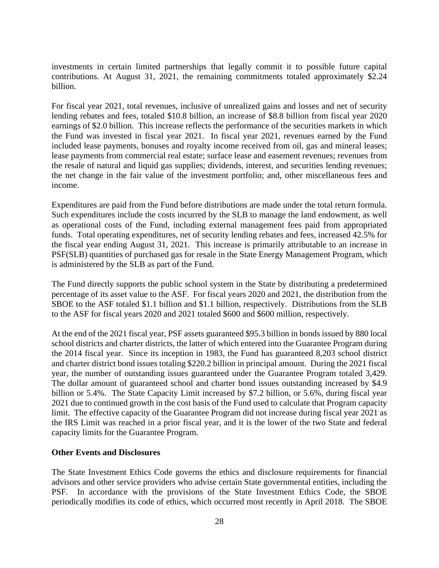investments in certain limited partnerships that legally commit it to possible future capital contributions. At August 31, 2021, the remaining commitments totaled approximately \$2.24 billion.

For fiscal year 2021, total revenues, inclusive of unrealized gains and losses and net of security lending rebates and fees, totaled \$10.8 billion, an increase of \$8.8 billion from fiscal year 2020 earnings of \$2.0 billion. This increase reflects the performance of the securities markets in which the Fund was invested in fiscal year 2021. In fiscal year 2021, revenues earned by the Fund included lease payments, bonuses and royalty income received from oil, gas and mineral leases; lease payments from commercial real estate; surface lease and easement revenues; revenues from the resale of natural and liquid gas supplies; dividends, interest, and securities lending revenues; the net change in the fair value of the investment portfolio; and, other miscellaneous fees and income.

Expenditures are paid from the Fund before distributions are made under the total return formula. Such expenditures include the costs incurred by the SLB to manage the land endowment, as well as operational costs of the Fund, including external management fees paid from appropriated funds. Total operating expenditures, net of security lending rebates and fees, increased 42.5% for the fiscal year ending August 31, 2021. This increase is primarily attributable to an increase in PSF(SLB) quantities of purchased gas for resale in the State Energy Management Program, which is administered by the SLB as part of the Fund.

The Fund directly supports the public school system in the State by distributing a predetermined percentage of its asset value to the ASF. For fiscal years 2020 and 2021, the distribution from the SBOE to the ASF totaled \$1.1 billion and \$1.1 billion, respectively. Distributions from the SLB to the ASF for fiscal years 2020 and 2021 totaled \$600 and \$600 million, respectively.

At the end of the 2021 fiscal year, PSF assets guaranteed \$95.3 billion in bonds issued by 880 local school districts and charter districts, the latter of which entered into the Guarantee Program during the 2014 fiscal year. Since its inception in 1983, the Fund has guaranteed 8,203 school district and charter district bond issues totaling \$220.2 billion in principal amount. During the 2021 fiscal year, the number of outstanding issues guaranteed under the Guarantee Program totaled 3,429. The dollar amount of guaranteed school and charter bond issues outstanding increased by \$4.9 billion or 5.4%. The State Capacity Limit increased by \$7.2 billion, or 5.6%, during fiscal year 2021 due to continued growth in the cost basis of the Fund used to calculate that Program capacity limit. The effective capacity of the Guarantee Program did not increase during fiscal year 2021 as the IRS Limit was reached in a prior fiscal year, and it is the lower of the two State and federal capacity limits for the Guarantee Program.

## **Other Events and Disclosures**

The State Investment Ethics Code governs the ethics and disclosure requirements for financial advisors and other service providers who advise certain State governmental entities, including the PSF. In accordance with the provisions of the State Investment Ethics Code, the SBOE periodically modifies its code of ethics, which occurred most recently in April 2018. The SBOE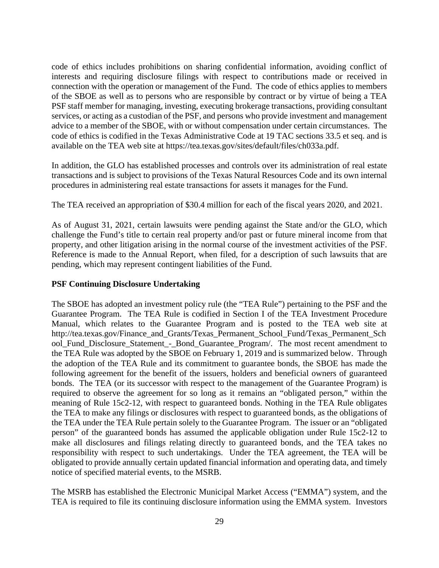code of ethics includes prohibitions on sharing confidential information, avoiding conflict of interests and requiring disclosure filings with respect to contributions made or received in connection with the operation or management of the Fund. The code of ethics applies to members of the SBOE as well as to persons who are responsible by contract or by virtue of being a TEA PSF staff member for managing, investing, executing brokerage transactions, providing consultant services, or acting as a custodian of the PSF, and persons who provide investment and management advice to a member of the SBOE, with or without compensation under certain circumstances. The code of ethics is codified in the Texas Administrative Code at 19 TAC sections 33.5 et seq. and is available on the TEA web site at [https://tea.texas.gov/sites/default/files/ch033a.pdf.](https://tea.texas.gov/sites/default/files/ch033a.pdf)

In addition, the GLO has established processes and controls over its administration of real estate transactions and is subject to provisions of the Texas Natural Resources Code and its own internal procedures in administering real estate transactions for assets it manages for the Fund.

The TEA received an appropriation of \$30.4 million for each of the fiscal years 2020, and 2021.

As of August 31, 2021, certain lawsuits were pending against the State and/or the GLO, which challenge the Fund's title to certain real property and/or past or future mineral income from that property, and other litigation arising in the normal course of the investment activities of the PSF. Reference is made to the Annual Report, when filed, for a description of such lawsuits that are pending, which may represent contingent liabilities of the Fund.

# **PSF Continuing Disclosure Undertaking**

The SBOE has adopted an investment policy rule (the "TEA Rule") pertaining to the PSF and the Guarantee Program. The TEA Rule is codified in Section I of the TEA Investment Procedure Manual, which relates to the Guarantee Program and is posted to the TEA web site at [http://tea.texas.gov/Finance\\_and\\_Grants/Texas\\_Permanent\\_School\\_Fund/Texas\\_Permanent\\_Sch](http://tea.texas.gov/Finance_and_Grants/Texas_Permanent_School_Fund/Texas_Permanent_Sch)  ool Fund Disclosure Statement - Bond Guarantee Program/. The most recent amendment to the TEA Rule was adopted by the SBOE on February 1, 2019 and is summarized below. Through the adoption of the TEA Rule and its commitment to guarantee bonds, the SBOE has made the following agreement for the benefit of the issuers, holders and beneficial owners of guaranteed bonds. The TEA (or its successor with respect to the management of the Guarantee Program) is required to observe the agreement for so long as it remains an "obligated person," within the meaning of Rule 15c2-12, with respect to guaranteed bonds. Nothing in the TEA Rule obligates the TEA to make any filings or disclosures with respect to guaranteed bonds, as the obligations of the TEA under the TEA Rule pertain solely to the Guarantee Program. The issuer or an "obligated person" of the guaranteed bonds has assumed the applicable obligation under Rule 15c2-12 to make all disclosures and filings relating directly to guaranteed bonds, and the TEA takes no responsibility with respect to such undertakings. Under the TEA agreement, the TEA will be obligated to provide annually certain updated financial information and operating data, and timely notice of specified material events, to the MSRB.

The MSRB has established the Electronic Municipal Market Access ("EMMA") system, and the TEA is required to file its continuing disclosure information using the EMMA system. Investors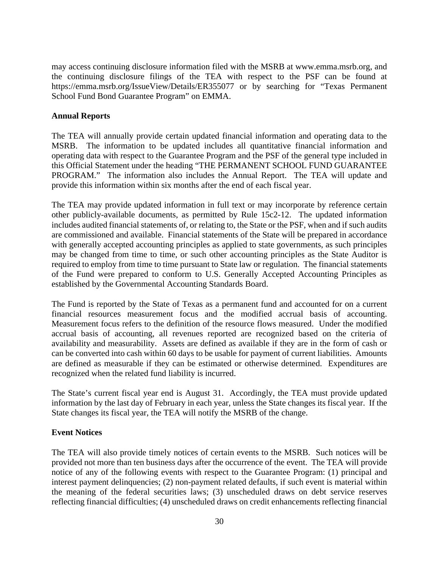may access continuing disclosure information filed with the MSRB at <www.emma.msrb.org>, and the continuing disclosure filings of the TEA with respect to the PSF can be found at <https://emma.msrb.org/IssueView/Details/ER355077>or by searching for "Texas Permanent School Fund Bond Guarantee Program" on EMMA.

# **Annual Reports**

The TEA will annually provide certain updated financial information and operating data to the MSRB. The information to be updated includes all quantitative financial information and operating data with respect to the Guarantee Program and the PSF of the general type included in this Official Statement under the heading "THE PERMANENT SCHOOL FUND GUARANTEE PROGRAM." The information also includes the Annual Report. The TEA will update and provide this information within six months after the end of each fiscal year.

The TEA may provide updated information in full text or may incorporate by reference certain other publicly-available documents, as permitted by Rule 15c2-12. The updated information includes audited financial statements of, or relating to, the State or the PSF, when and if such audits are commissioned and available. Financial statements of the State will be prepared in accordance with generally accepted accounting principles as applied to state governments, as such principles may be changed from time to time, or such other accounting principles as the State Auditor is required to employ from time to time pursuant to State law or regulation. The financial statements of the Fund were prepared to conform to U.S. Generally Accepted Accounting Principles as established by the Governmental Accounting Standards Board.

The Fund is reported by the State of Texas as a permanent fund and accounted for on a current financial resources measurement focus and the modified accrual basis of accounting. Measurement focus refers to the definition of the resource flows measured. Under the modified accrual basis of accounting, all revenues reported are recognized based on the criteria of availability and measurability. Assets are defined as available if they are in the form of cash or can be converted into cash within 60 days to be usable for payment of current liabilities. Amounts are defined as measurable if they can be estimated or otherwise determined. Expenditures are recognized when the related fund liability is incurred.

The State's current fiscal year end is August 31. Accordingly, the TEA must provide updated information by the last day of February in each year, unless the State changes its fiscal year. If the State changes its fiscal year, the TEA will notify the MSRB of the change.

# **Event Notices**

The TEA will also provide timely notices of certain events to the MSRB. Such notices will be provided not more than ten business days after the occurrence of the event. The TEA will provide notice of any of the following events with respect to the Guarantee Program: (1) principal and interest payment delinquencies; (2) non-payment related defaults, if such event is material within the meaning of the federal securities laws; (3) unscheduled draws on debt service reserves reflecting financial difficulties; (4) unscheduled draws on credit enhancements reflecting financial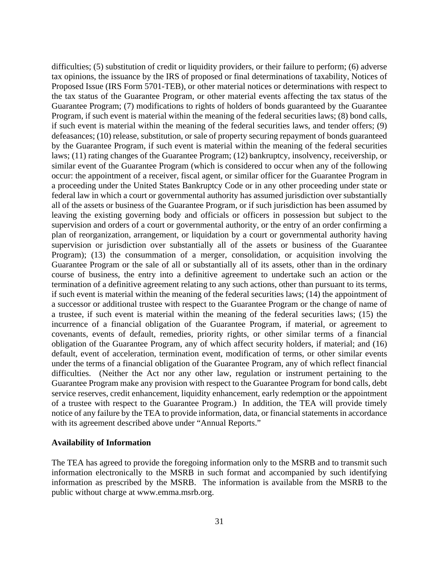difficulties; (5) substitution of credit or liquidity providers, or their failure to perform; (6) adverse tax opinions, the issuance by the IRS of proposed or final determinations of taxability, Notices of Proposed Issue (IRS Form 5701-TEB), or other material notices or determinations with respect to the tax status of the Guarantee Program, or other material events affecting the tax status of the Guarantee Program; (7) modifications to rights of holders of bonds guaranteed by the Guarantee Program, if such event is material within the meaning of the federal securities laws; (8) bond calls, if such event is material within the meaning of the federal securities laws, and tender offers; (9) defeasances; (10) release, substitution, or sale of property securing repayment of bonds guaranteed by the Guarantee Program, if such event is material within the meaning of the federal securities laws; (11) rating changes of the Guarantee Program; (12) bankruptcy, insolvency, receivership, or similar event of the Guarantee Program (which is considered to occur when any of the following occur: the appointment of a receiver, fiscal agent, or similar officer for the Guarantee Program in a proceeding under the United States Bankruptcy Code or in any other proceeding under state or federal law in which a court or governmental authority has assumed jurisdiction over substantially all of the assets or business of the Guarantee Program, or if such jurisdiction has been assumed by leaving the existing governing body and officials or officers in possession but subject to the supervision and orders of a court or governmental authority, or the entry of an order confirming a plan of reorganization, arrangement, or liquidation by a court or governmental authority having supervision or jurisdiction over substantially all of the assets or business of the Guarantee Program); (13) the consummation of a merger, consolidation, or acquisition involving the Guarantee Program or the sale of all or substantially all of its assets, other than in the ordinary course of business, the entry into a definitive agreement to undertake such an action or the termination of a definitive agreement relating to any such actions, other than pursuant to its terms, if such event is material within the meaning of the federal securities laws; (14) the appointment of a successor or additional trustee with respect to the Guarantee Program or the change of name of a trustee, if such event is material within the meaning of the federal securities laws; (15) the incurrence of a financial obligation of the Guarantee Program, if material, or agreement to covenants, events of default, remedies, priority rights, or other similar terms of a financial obligation of the Guarantee Program, any of which affect security holders, if material; and (16) default, event of acceleration, termination event, modification of terms, or other similar events under the terms of a financial obligation of the Guarantee Program, any of which reflect financial difficulties. (Neither the Act nor any other law, regulation or instrument pertaining to the Guarantee Program make any provision with respect to the Guarantee Program for bond calls, debt service reserves, credit enhancement, liquidity enhancement, early redemption or the appointment of a trustee with respect to the Guarantee Program.) In addition, the TEA will provide timely notice of any failure by the TEA to provide information, data, or financial statements in accordance with its agreement described above under "Annual Reports."

#### **Availability of Information**

The TEA has agreed to provide the foregoing information only to the MSRB and to transmit such information electronically to the MSRB in such format and accompanied by such identifying information as prescribed by the MSRB. The information is available from the MSRB to the public without charge at [www.emma.msrb.org.](www.emma.msrb.org)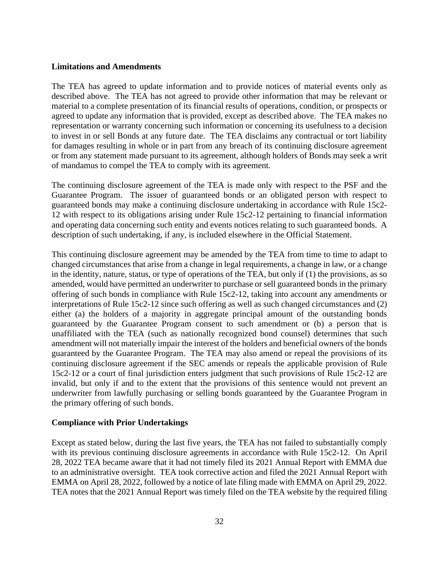#### **Limitations and Amendments**

The TEA has agreed to update information and to provide notices of material events only as described above. The TEA has not agreed to provide other information that may be relevant or material to a complete presentation of its financial results of operations, condition, or prospects or agreed to update any information that is provided, except as described above. The TEA makes no representation or warranty concerning such information or concerning its usefulness to a decision to invest in or sell Bonds at any future date. The TEA disclaims any contractual or tort liability for damages resulting in whole or in part from any breach of its continuing disclosure agreement or from any statement made pursuant to its agreement, although holders of Bonds may seek a writ of mandamus to compel the TEA to comply with its agreement.

The continuing disclosure agreement of the TEA is made only with respect to the PSF and the Guarantee Program. The issuer of guaranteed bonds or an obligated person with respect to guaranteed bonds may make a continuing disclosure undertaking in accordance with Rule 15c2- 12 with respect to its obligations arising under Rule 15c2-12 pertaining to financial information and operating data concerning such entity and events notices relating to such guaranteed bonds. A description of such undertaking, if any, is included elsewhere in the Official Statement.

This continuing disclosure agreement may be amended by the TEA from time to time to adapt to changed circumstances that arise from a change in legal requirements, a change in law, or a change in the identity, nature, status, or type of operations of the TEA, but only if (1) the provisions, as so amended, would have permitted an underwriter to purchase or sell guaranteed bonds in the primary offering of such bonds in compliance with Rule 15c2-12, taking into account any amendments or interpretations of Rule 15c2-12 since such offering as well as such changed circumstances and (2) either (a) the holders of a majority in aggregate principal amount of the outstanding bonds guaranteed by the Guarantee Program consent to such amendment or (b) a person that is unaffiliated with the TEA (such as nationally recognized bond counsel) determines that such amendment will not materially impair the interest of the holders and beneficial owners of the bonds guaranteed by the Guarantee Program. The TEA may also amend or repeal the provisions of its continuing disclosure agreement if the SEC amends or repeals the applicable provision of Rule 15c2-12 or a court of final jurisdiction enters judgment that such provisions of Rule 15c2-12 are invalid, but only if and to the extent that the provisions of this sentence would not prevent an underwriter from lawfully purchasing or selling bonds guaranteed by the Guarantee Program in the primary offering of such bonds.

## **Compliance with Prior Undertakings**

Except as stated below, during the last five years, the TEA has not failed to substantially comply with its previous continuing disclosure agreements in accordance with Rule 15c2-12. On April 28, 2022 TEA became aware that it had not timely filed its 2021 Annual Report with EMMA due to an administrative oversight. TEA took corrective action and filed the 2021 Annual Report with EMMA on April 28, 2022, followed by a notice of late filing made with EMMA on April 29, 2022. TEA notes that the 2021 Annual Report was timely filed on the TEA website by the required filing